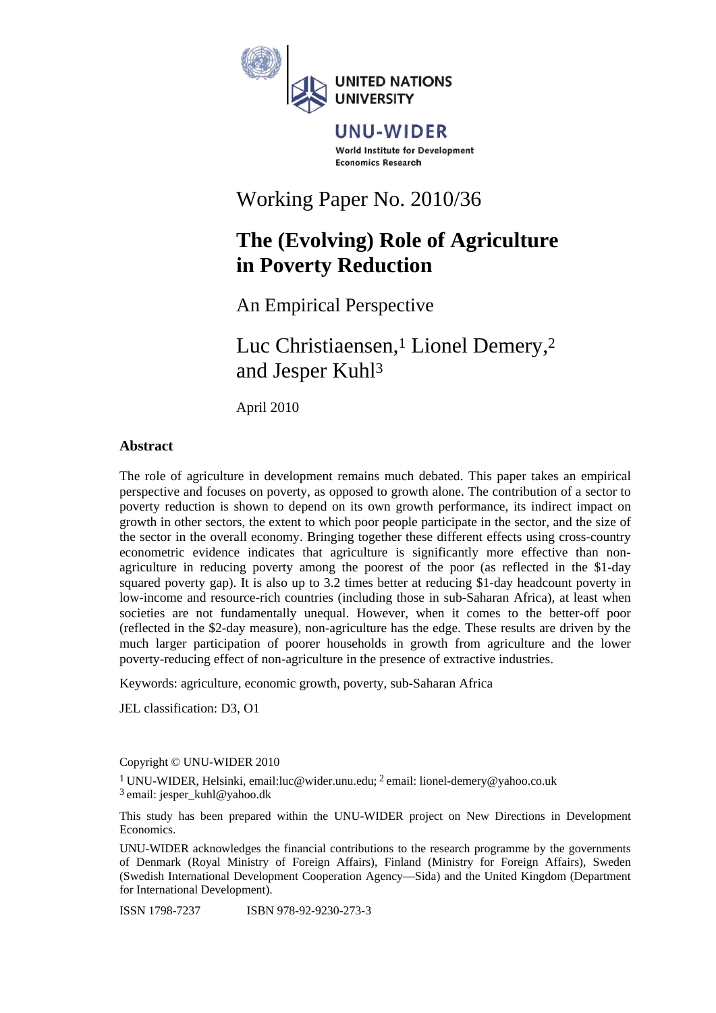

#### UNU-WIDER World Institute for Development **Economics Research**

# Working Paper No. 2010/36

## **The (Evolving) Role of Agriculture in Poverty Reduction**

An Empirical Perspective

Luc Christiaensen,<sup>1</sup> Lionel Demery,<sup>2</sup> and Jesper Kuhl3

April 2010

### **Abstract**

The role of agriculture in development remains much debated. This paper takes an empirical perspective and focuses on poverty, as opposed to growth alone. The contribution of a sector to poverty reduction is shown to depend on its own growth performance, its indirect impact on growth in other sectors, the extent to which poor people participate in the sector, and the size of the sector in the overall economy. Bringing together these different effects using cross-country econometric evidence indicates that agriculture is significantly more effective than nonagriculture in reducing poverty among the poorest of the poor (as reflected in the \$1-day squared poverty gap). It is also up to 3.2 times better at reducing \$1-day headcount poverty in low-income and resource-rich countries (including those in sub-Saharan Africa), at least when societies are not fundamentally unequal. However, when it comes to the better-off poor (reflected in the \$2-day measure), non-agriculture has the edge. These results are driven by the much larger participation of poorer households in growth from agriculture and the lower poverty-reducing effect of non-agriculture in the presence of extractive industries.

Keywords: agriculture, economic growth, poverty, sub-Saharan Africa

JEL classification: D3, O1

Copyright © UNU-WIDER 2010

1 UNU-WIDER, Helsinki, email:luc@wider.unu.edu; 2 email: lionel-demery@yahoo.co.uk 3 email: jesper\_kuhl@yahoo.dk

This study has been prepared within the UNU-WIDER project on New Directions in Development Economics.

UNU-WIDER acknowledges the financial contributions to the research programme by the governments of Denmark (Royal Ministry of Foreign Affairs), Finland (Ministry for Foreign Affairs), Sweden (Swedish International Development Cooperation Agency—Sida) and the United Kingdom (Department for International Development).

ISSN 1798-7237 ISBN 978-92-9230-273-3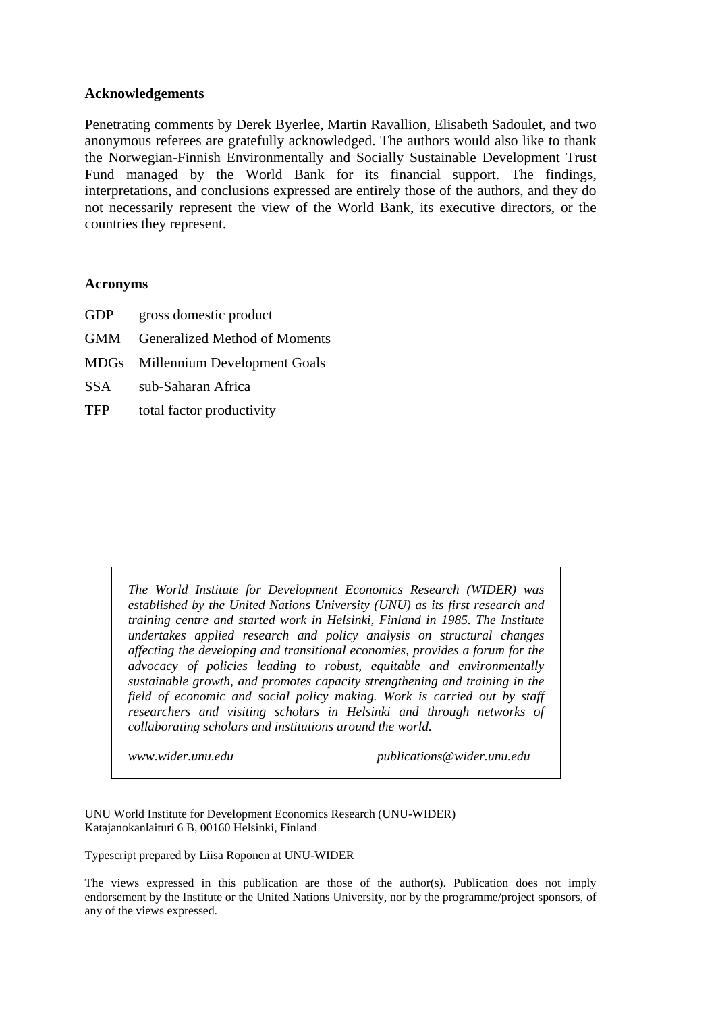#### **Acknowledgements**

Penetrating comments by Derek Byerlee, Martin Ravallion, Elisabeth Sadoulet, and two anonymous referees are gratefully acknowledged. The authors would also like to thank the Norwegian-Finnish Environmentally and Socially Sustainable Development Trust Fund managed by the World Bank for its financial support. The findings, interpretations, and conclusions expressed are entirely those of the authors, and they do not necessarily represent the view of the World Bank, its executive directors, or the countries they represent.

#### **Acronyms**

- GDP gross domestic product
- GMM Generalized Method of Moments
- MDGs Millennium Development Goals
- SSA sub-Saharan Africa
- TFP total factor productivity

*The World Institute for Development Economics Research (WIDER) was established by the United Nations University (UNU) as its first research and training centre and started work in Helsinki, Finland in 1985. The Institute undertakes applied research and policy analysis on structural changes affecting the developing and transitional economies, provides a forum for the advocacy of policies leading to robust, equitable and environmentally sustainable growth, and promotes capacity strengthening and training in the field of economic and social policy making. Work is carried out by staff researchers and visiting scholars in Helsinki and through networks of collaborating scholars and institutions around the world.* 

*www.wider.unu.edu publications@wider.unu.edu* 

UNU World Institute for Development Economics Research (UNU-WIDER) Katajanokanlaituri 6 B, 00160 Helsinki, Finland

Typescript prepared by Liisa Roponen at UNU-WIDER

The views expressed in this publication are those of the author(s). Publication does not imply endorsement by the Institute or the United Nations University, nor by the programme/project sponsors, of any of the views expressed.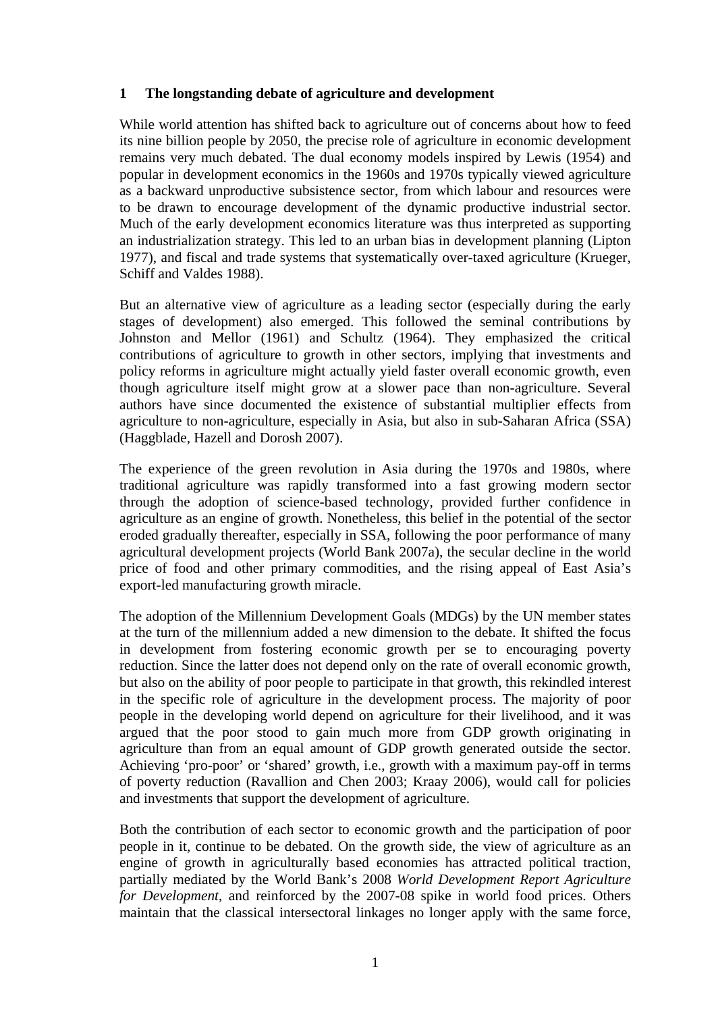### **1 The longstanding debate of agriculture and development**

While world attention has shifted back to agriculture out of concerns about how to feed its nine billion people by 2050, the precise role of agriculture in economic development remains very much debated. The dual economy models inspired by Lewis (1954) and popular in development economics in the 1960s and 1970s typically viewed agriculture as a backward unproductive subsistence sector, from which labour and resources were to be drawn to encourage development of the dynamic productive industrial sector. Much of the early development economics literature was thus interpreted as supporting an industrialization strategy. This led to an urban bias in development planning (Lipton 1977), and fiscal and trade systems that systematically over-taxed agriculture (Krueger, Schiff and Valdes 1988).

But an alternative view of agriculture as a leading sector (especially during the early stages of development) also emerged. This followed the seminal contributions by Johnston and Mellor (1961) and Schultz (1964). They emphasized the critical contributions of agriculture to growth in other sectors, implying that investments and policy reforms in agriculture might actually yield faster overall economic growth, even though agriculture itself might grow at a slower pace than non-agriculture. Several authors have since documented the existence of substantial multiplier effects from agriculture to non-agriculture, especially in Asia, but also in sub-Saharan Africa (SSA) (Haggblade, Hazell and Dorosh 2007).

The experience of the green revolution in Asia during the 1970s and 1980s, where traditional agriculture was rapidly transformed into a fast growing modern sector through the adoption of science-based technology, provided further confidence in agriculture as an engine of growth. Nonetheless, this belief in the potential of the sector eroded gradually thereafter, especially in SSA, following the poor performance of many agricultural development projects (World Bank 2007a), the secular decline in the world price of food and other primary commodities, and the rising appeal of East Asia's export-led manufacturing growth miracle.

The adoption of the Millennium Development Goals (MDGs) by the UN member states at the turn of the millennium added a new dimension to the debate. It shifted the focus in development from fostering economic growth per se to encouraging poverty reduction. Since the latter does not depend only on the rate of overall economic growth, but also on the ability of poor people to participate in that growth, this rekindled interest in the specific role of agriculture in the development process. The majority of poor people in the developing world depend on agriculture for their livelihood, and it was argued that the poor stood to gain much more from GDP growth originating in agriculture than from an equal amount of GDP growth generated outside the sector. Achieving 'pro-poor' or 'shared' growth, i.e., growth with a maximum pay-off in terms of poverty reduction (Ravallion and Chen 2003; Kraay 2006), would call for policies and investments that support the development of agriculture.

Both the contribution of each sector to economic growth and the participation of poor people in it, continue to be debated. On the growth side, the view of agriculture as an engine of growth in agriculturally based economies has attracted political traction, partially mediated by the World Bank's 2008 *World Development Report Agriculture for Development*, and reinforced by the 2007-08 spike in world food prices. Others maintain that the classical intersectoral linkages no longer apply with the same force,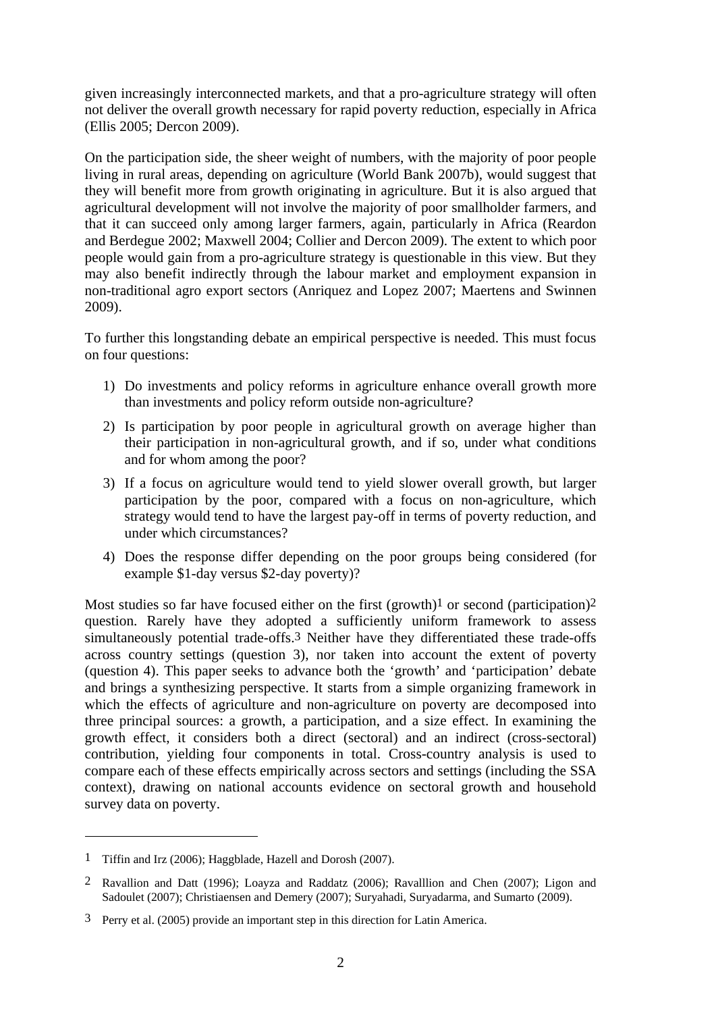given increasingly interconnected markets, and that a pro-agriculture strategy will often not deliver the overall growth necessary for rapid poverty reduction, especially in Africa (Ellis 2005; Dercon 2009).

On the participation side, the sheer weight of numbers, with the majority of poor people living in rural areas, depending on agriculture (World Bank 2007b), would suggest that they will benefit more from growth originating in agriculture. But it is also argued that agricultural development will not involve the majority of poor smallholder farmers, and that it can succeed only among larger farmers, again, particularly in Africa (Reardon and Berdegue 2002; Maxwell 2004; Collier and Dercon 2009). The extent to which poor people would gain from a pro-agriculture strategy is questionable in this view. But they may also benefit indirectly through the labour market and employment expansion in non-traditional agro export sectors (Anriquez and Lopez 2007; Maertens and Swinnen 2009).

To further this longstanding debate an empirical perspective is needed. This must focus on four questions:

- 1) Do investments and policy reforms in agriculture enhance overall growth more than investments and policy reform outside non-agriculture?
- 2) Is participation by poor people in agricultural growth on average higher than their participation in non-agricultural growth, and if so, under what conditions and for whom among the poor?
- 3) If a focus on agriculture would tend to yield slower overall growth, but larger participation by the poor, compared with a focus on non-agriculture, which strategy would tend to have the largest pay-off in terms of poverty reduction, and under which circumstances?
- 4) Does the response differ depending on the poor groups being considered (for example \$1-day versus \$2-day poverty)?

Most studies so far have focused either on the first (growth)<sup>1</sup> or second (participation)<sup>2</sup> question. Rarely have they adopted a sufficiently uniform framework to assess simultaneously potential trade-offs.3 Neither have they differentiated these trade-offs across country settings (question 3), nor taken into account the extent of poverty (question 4). This paper seeks to advance both the 'growth' and 'participation' debate and brings a synthesizing perspective. It starts from a simple organizing framework in which the effects of agriculture and non-agriculture on poverty are decomposed into three principal sources: a growth, a participation, and a size effect. In examining the growth effect, it considers both a direct (sectoral) and an indirect (cross-sectoral) contribution, yielding four components in total. Cross-country analysis is used to compare each of these effects empirically across sectors and settings (including the SSA context), drawing on national accounts evidence on sectoral growth and household survey data on poverty.

<sup>1</sup> Tiffin and Irz (2006); Haggblade, Hazell and Dorosh (2007).

<sup>2</sup> Ravallion and Datt (1996); Loayza and Raddatz (2006); Ravalllion and Chen (2007); Ligon and Sadoulet (2007); Christiaensen and Demery (2007); Suryahadi, Suryadarma, and Sumarto (2009).

<sup>3</sup> Perry et al. (2005) provide an important step in this direction for Latin America.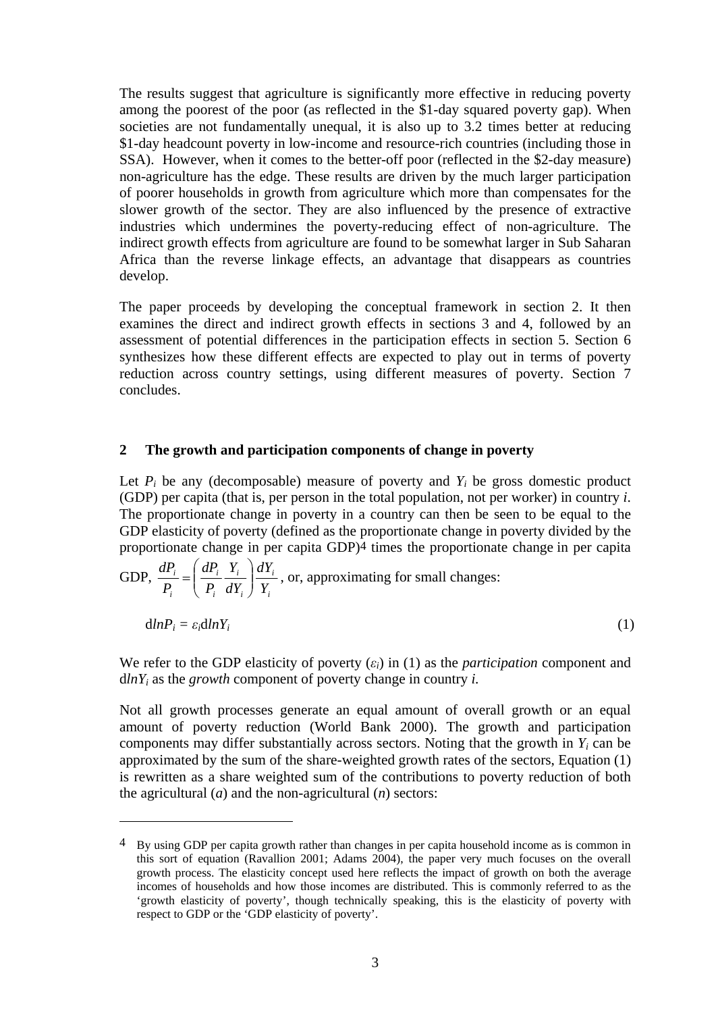The results suggest that agriculture is significantly more effective in reducing poverty among the poorest of the poor (as reflected in the \$1-day squared poverty gap). When societies are not fundamentally unequal, it is also up to 3.2 times better at reducing \$1-day headcount poverty in low-income and resource-rich countries (including those in SSA). However, when it comes to the better-off poor (reflected in the \$2-day measure) non-agriculture has the edge. These results are driven by the much larger participation of poorer households in growth from agriculture which more than compensates for the slower growth of the sector. They are also influenced by the presence of extractive industries which undermines the poverty-reducing effect of non-agriculture. The indirect growth effects from agriculture are found to be somewhat larger in Sub Saharan Africa than the reverse linkage effects, an advantage that disappears as countries develop.

The paper proceeds by developing the conceptual framework in section 2. It then examines the direct and indirect growth effects in sections 3 and 4, followed by an assessment of potential differences in the participation effects in section 5. Section 6 synthesizes how these different effects are expected to play out in terms of poverty reduction across country settings, using different measures of poverty. Section 7 concludes.

#### **2 The growth and participation components of change in poverty**

Let  $P_i$  be any (decomposable) measure of poverty and  $Y_i$  be gross domestic product (GDP) per capita (that is, per person in the total population, not per worker) in country *i*. The proportionate change in poverty in a country can then be seen to be equal to the GDP elasticity of poverty (defined as the proportionate change in poverty divided by the proportionate change in per capita GDP)4 times the proportionate change in per capita

GDP, 
$$
\frac{dP_i}{P_i} = \left(\frac{dP_i}{P_i} \frac{Y_i}{dY_i}\right) \frac{dY_i}{Y_i}
$$
, or, approximating for small changes:  

$$
dlnP_i = \varepsilon_i dlnY_i
$$
 (1)

We refer to the GDP elasticity of poverty  $(\varepsilon_i)$  in (1) as the *participation* component and d*lnYi* as the *growth* component of poverty change in country *i.* 

Not all growth processes generate an equal amount of overall growth or an equal amount of poverty reduction (World Bank 2000). The growth and participation components may differ substantially across sectors. Noting that the growth in *Yi* can be approximated by the sum of the share-weighted growth rates of the sectors, Equation (1) is rewritten as a share weighted sum of the contributions to poverty reduction of both the agricultural (*a*) and the non-agricultural (*n*) sectors:

<sup>4</sup> By using GDP per capita growth rather than changes in per capita household income as is common in this sort of equation (Ravallion 2001; Adams 2004), the paper very much focuses on the overall growth process. The elasticity concept used here reflects the impact of growth on both the average incomes of households and how those incomes are distributed. This is commonly referred to as the 'growth elasticity of poverty', though technically speaking, this is the elasticity of poverty with respect to GDP or the 'GDP elasticity of poverty'.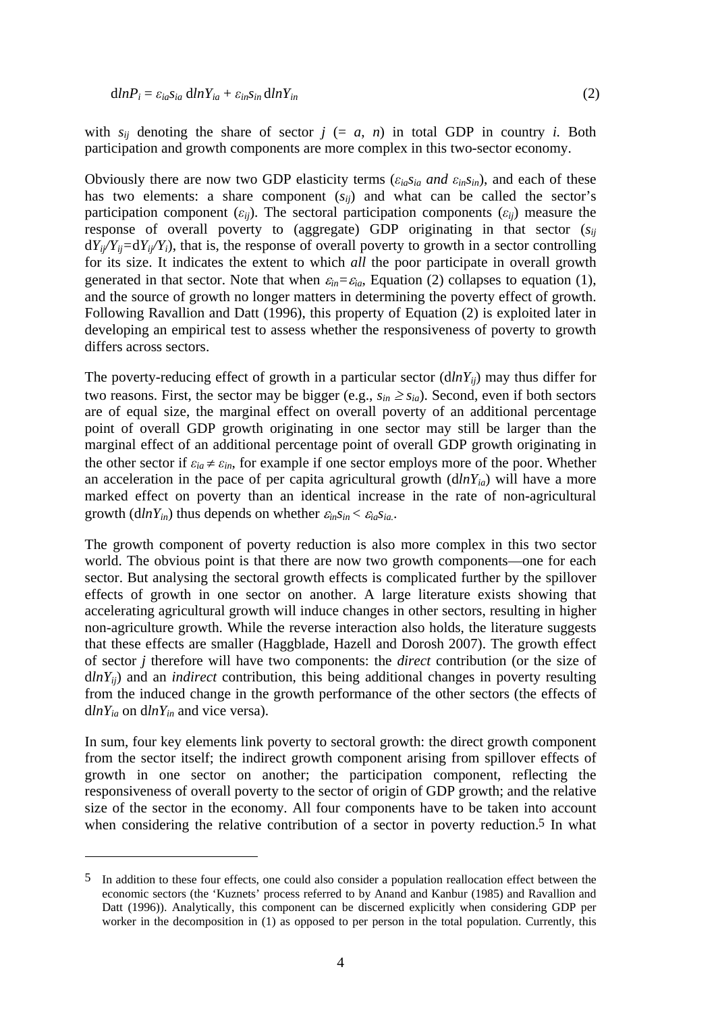with  $s_{ij}$  denoting the share of sector  $j (= a, n)$  in total GDP in country *i*. Both participation and growth components are more complex in this two-sector economy.

Obviously there are now two GDP elasticity terms ( $\varepsilon_{ia} s_{ia}$  and  $\varepsilon_{in} s_{in}$ ), and each of these has two elements: a share component  $(s_{ii})$  and what can be called the sector's participation component  $(\varepsilon_{ij})$ . The sectoral participation components  $(\varepsilon_{ij})$  measure the response of overall poverty to (aggregate) GDP originating in that sector (*sij*  $dY_{ii}/Y_{ii}=dY_{ii}/Y_i$ ), that is, the response of overall poverty to growth in a sector controlling for its size. It indicates the extent to which *all* the poor participate in overall growth generated in that sector. Note that when  $\varepsilon_{in} = \varepsilon_{ia}$ , Equation (2) collapses to equation (1), and the source of growth no longer matters in determining the poverty effect of growth. Following Ravallion and Datt (1996), this property of Equation (2) is exploited later in developing an empirical test to assess whether the responsiveness of poverty to growth differs across sectors.

The poverty-reducing effect of growth in a particular sector  $(dln Y_{ii})$  may thus differ for two reasons. First, the sector may be bigger (e.g.,  $s_{in} \ge s_{ia}$ ). Second, even if both sectors are of equal size, the marginal effect on overall poverty of an additional percentage point of overall GDP growth originating in one sector may still be larger than the marginal effect of an additional percentage point of overall GDP growth originating in the other sector if  $\varepsilon_{ia} \neq \varepsilon_{in}$ , for example if one sector employs more of the poor. Whether an acceleration in the pace of per capita agricultural growth  $(dlnY_{ia})$  will have a more marked effect on poverty than an identical increase in the rate of non-agricultural growth  $(dlnY_{in})$  thus depends on whether  $\varepsilon_{in}S_{in} < \varepsilon_{ia}S_{ia}$ .

The growth component of poverty reduction is also more complex in this two sector world. The obvious point is that there are now two growth components—one for each sector. But analysing the sectoral growth effects is complicated further by the spillover effects of growth in one sector on another. A large literature exists showing that accelerating agricultural growth will induce changes in other sectors, resulting in higher non-agriculture growth. While the reverse interaction also holds, the literature suggests that these effects are smaller (Haggblade, Hazell and Dorosh 2007). The growth effect of sector *j* therefore will have two components: the *direct* contribution (or the size of  $dlnY_{ii}$ ) and an *indirect* contribution, this being additional changes in poverty resulting from the induced change in the growth performance of the other sectors (the effects of d*lnYia* on d*lnYin* and vice versa).

In sum, four key elements link poverty to sectoral growth: the direct growth component from the sector itself; the indirect growth component arising from spillover effects of growth in one sector on another; the participation component, reflecting the responsiveness of overall poverty to the sector of origin of GDP growth; and the relative size of the sector in the economy. All four components have to be taken into account when considering the relative contribution of a sector in poverty reduction.5 In what

<sup>5</sup> In addition to these four effects, one could also consider a population reallocation effect between the economic sectors (the 'Kuznets' process referred to by Anand and Kanbur (1985) and Ravallion and Datt (1996)). Analytically, this component can be discerned explicitly when considering GDP per worker in the decomposition in (1) as opposed to per person in the total population. Currently, this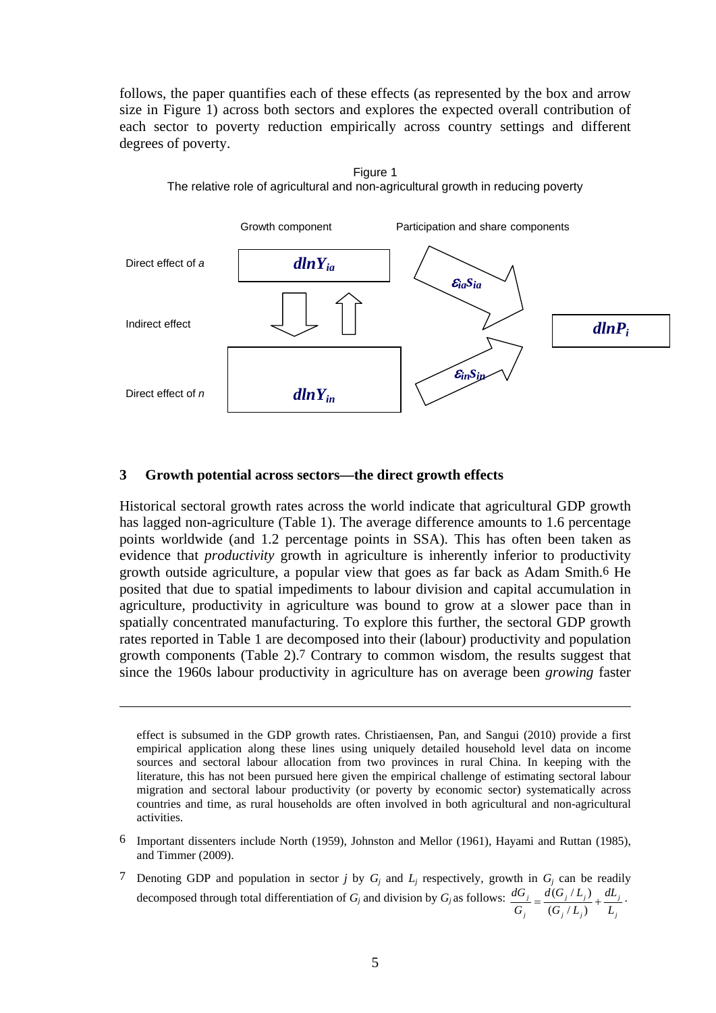follows, the paper quantifies each of these effects (as represented by the box and arrow size in Figure 1) across both sectors and explores the expected overall contribution of each sector to poverty reduction empirically across country settings and different degrees of poverty.

Figure 1



#### **3 Growth potential across sectors—the direct growth effects**

1

Historical sectoral growth rates across the world indicate that agricultural GDP growth has lagged non-agriculture (Table 1). The average difference amounts to 1.6 percentage points worldwide (and 1.2 percentage points in SSA). This has often been taken as evidence that *productivity* growth in agriculture is inherently inferior to productivity growth outside agriculture, a popular view that goes as far back as Adam Smith.6 He posited that due to spatial impediments to labour division and capital accumulation in agriculture, productivity in agriculture was bound to grow at a slower pace than in spatially concentrated manufacturing. To explore this further, the sectoral GDP growth rates reported in Table 1 are decomposed into their (labour) productivity and population growth components (Table 2).7 Contrary to common wisdom, the results suggest that since the 1960s labour productivity in agriculture has on average been *growing* faster

effect is subsumed in the GDP growth rates. Christiaensen, Pan, and Sangui (2010) provide a first empirical application along these lines using uniquely detailed household level data on income sources and sectoral labour allocation from two provinces in rural China. In keeping with the literature, this has not been pursued here given the empirical challenge of estimating sectoral labour migration and sectoral labour productivity (or poverty by economic sector) systematically across countries and time, as rural households are often involved in both agricultural and non-agricultural activities.

- 6 Important dissenters include North (1959), Johnston and Mellor (1961), Hayami and Ruttan (1985), and Timmer (2009).
- 7 Denoting GDP and population in sector *j* by  $G_i$  and  $L_j$  respectively, growth in  $G_j$  can be readily decomposed through total differentiation of *Gj* and division by *Gj* as follows: *j j jj jj j j L dL*  $[G_i/L]$  $d(G_i/L)$  $\frac{dG_j}{G_i} = \frac{d(G_j/L_j)}{(G_j/L_i)} +$  $\frac{(G_j/L_j)}{(H_j + H_j)} + \frac{dL_j}{L_j}.$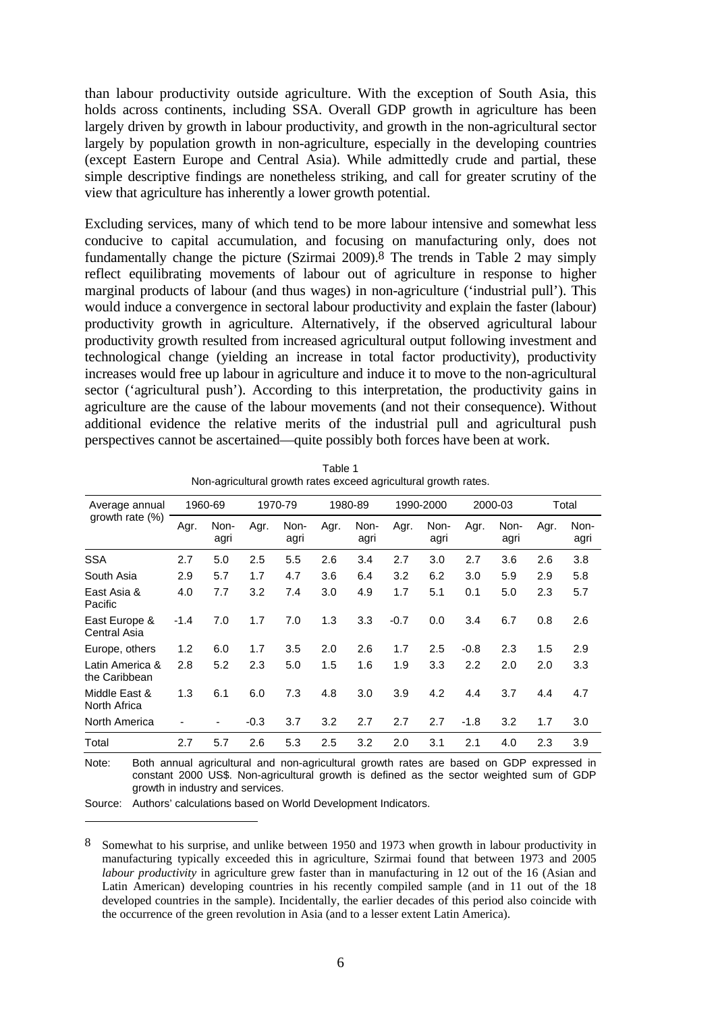than labour productivity outside agriculture. With the exception of South Asia, this holds across continents, including SSA. Overall GDP growth in agriculture has been largely driven by growth in labour productivity, and growth in the non-agricultural sector largely by population growth in non-agriculture, especially in the developing countries (except Eastern Europe and Central Asia). While admittedly crude and partial, these simple descriptive findings are nonetheless striking, and call for greater scrutiny of the view that agriculture has inherently a lower growth potential.

Excluding services, many of which tend to be more labour intensive and somewhat less conducive to capital accumulation, and focusing on manufacturing only, does not fundamentally change the picture (Szirmai 2009).8 The trends in Table 2 may simply reflect equilibrating movements of labour out of agriculture in response to higher marginal products of labour (and thus wages) in non-agriculture ('industrial pull'). This would induce a convergence in sectoral labour productivity and explain the faster (labour) productivity growth in agriculture. Alternatively, if the observed agricultural labour productivity growth resulted from increased agricultural output following investment and technological change (yielding an increase in total factor productivity), productivity increases would free up labour in agriculture and induce it to move to the non-agricultural sector ('agricultural push'). According to this interpretation, the productivity gains in agriculture are the cause of the labour movements (and not their consequence). Without additional evidence the relative merits of the industrial pull and agricultural push perspectives cannot be ascertained—quite possibly both forces have been at work.

| Average annual                   |        | 1960-69      |        | 1970-79      |      | 1980-89      |        | 1990-2000    |        | 2000-03      |      | Total        |
|----------------------------------|--------|--------------|--------|--------------|------|--------------|--------|--------------|--------|--------------|------|--------------|
| growth rate $(\%)$               | Agr.   | Non-<br>agri | Agr.   | Non-<br>agri | Agr. | Non-<br>agri | Agr.   | Non-<br>agri | Agr.   | Non-<br>agri | Agr. | Non-<br>agri |
| <b>SSA</b>                       | 2.7    | 5.0          | 2.5    | 5.5          | 2.6  | 3.4          | 2.7    | 3.0          | 2.7    | 3.6          | 2.6  | 3.8          |
| South Asia                       | 2.9    | 5.7          | 1.7    | 4.7          | 3.6  | 6.4          | 3.2    | 6.2          | 3.0    | 5.9          | 2.9  | 5.8          |
| East Asia &<br>Pacific           | 4.0    | 7.7          | 3.2    | 7.4          | 3.0  | 4.9          | 1.7    | 5.1          | 0.1    | 5.0          | 2.3  | 5.7          |
| East Europe &<br>Central Asia    | $-1.4$ | 7.0          | 1.7    | 7.0          | 1.3  | 3.3          | $-0.7$ | 0.0          | 3.4    | 6.7          | 0.8  | 2.6          |
| Europe, others                   | 1.2    | 6.0          | 1.7    | 3.5          | 2.0  | 2.6          | 1.7    | 2.5          | $-0.8$ | 2.3          | 1.5  | 2.9          |
| Latin America &<br>the Caribbean | 2.8    | 5.2          | 2.3    | 5.0          | 1.5  | 1.6          | 1.9    | 3.3          | 2.2    | 2.0          | 2.0  | 3.3          |
| Middle East &<br>North Africa    | 1.3    | 6.1          | 6.0    | 7.3          | 4.8  | 3.0          | 3.9    | 4.2          | 4.4    | 3.7          | 4.4  | 4.7          |
| North America                    |        |              | $-0.3$ | 3.7          | 3.2  | 2.7          | 2.7    | 2.7          | $-1.8$ | 3.2          | 1.7  | 3.0          |
| Total                            | 2.7    | 5.7          | 2.6    | 5.3          | 2.5  | 3.2          | 2.0    | 3.1          | 2.1    | 4.0          | 2.3  | 3.9          |

Table 1 Non-agricultural growth rates exceed agricultural growth rates.

Note: Both annual agricultural and non-agricultural growth rates are based on GDP expressed in constant 2000 US\$. Non-agricultural growth is defined as the sector weighted sum of GDP growth in industry and services.

Source: Authors' calculations based on World Development Indicators.

<sup>8</sup> Somewhat to his surprise, and unlike between 1950 and 1973 when growth in labour productivity in manufacturing typically exceeded this in agriculture, Szirmai found that between 1973 and 2005 *labour productivity* in agriculture grew faster than in manufacturing in 12 out of the 16 (Asian and Latin American) developing countries in his recently compiled sample (and in 11 out of the 18 developed countries in the sample). Incidentally, the earlier decades of this period also coincide with the occurrence of the green revolution in Asia (and to a lesser extent Latin America).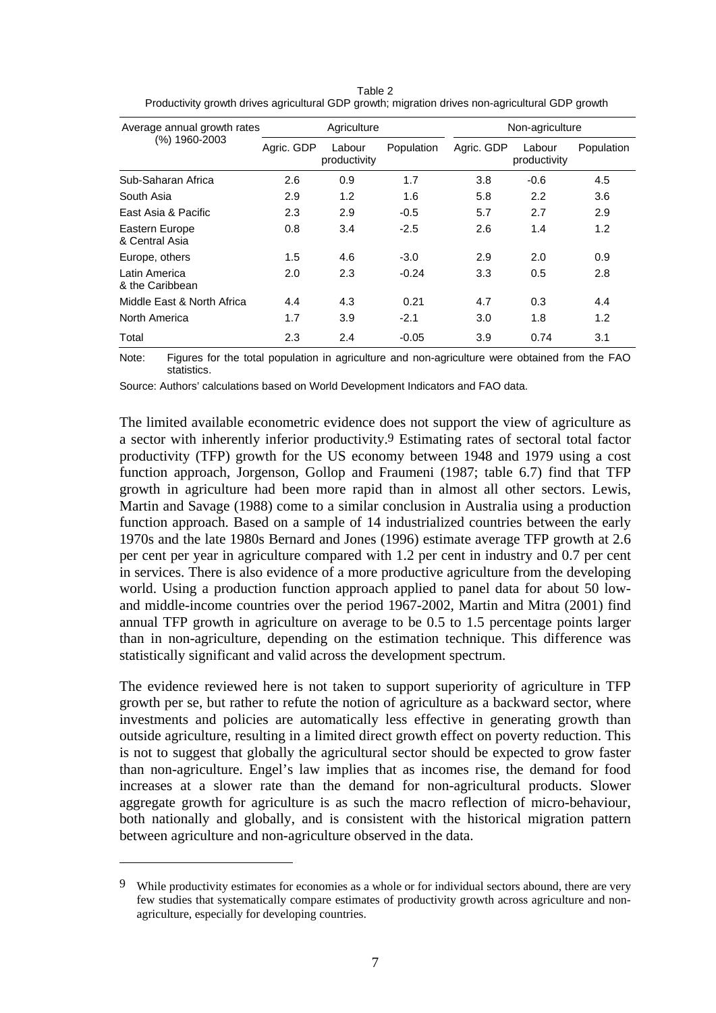| Average annual growth rates      |            | Agriculture            |            | Non-agriculture |                        |            |  |  |
|----------------------------------|------------|------------------------|------------|-----------------|------------------------|------------|--|--|
| (%) 1960-2003                    | Agric. GDP | Labour<br>productivity | Population | Agric. GDP      | Labour<br>productivity | Population |  |  |
| Sub-Saharan Africa               | 2.6        | 0.9                    | 1.7        | 3.8             | -0.6                   | 4.5        |  |  |
| South Asia                       | 2.9        | 1.2                    | 1.6        | 5.8             | 2.2                    | 3.6        |  |  |
| East Asia & Pacific              | 2.3        | 2.9                    | $-0.5$     | 5.7             | 2.7                    | 2.9        |  |  |
| Eastern Europe<br>& Central Asia | 0.8        | 3.4                    | $-2.5$     | 2.6             | 1.4                    | 1.2        |  |  |
| Europe, others                   | 1.5        | 4.6                    | $-3.0$     | 2.9             | 2.0                    | 0.9        |  |  |
| Latin America<br>& the Caribbean | 2.0        | 2.3                    | $-0.24$    | 3.3             | 0.5                    | 2.8        |  |  |
| Middle East & North Africa       | 4.4        | 4.3                    | 0.21       | 4.7             | 0.3                    | 4.4        |  |  |
| North America                    | 1.7        | 3.9                    | $-2.1$     | 3.0             | 1.8                    | 1.2        |  |  |
| Total                            | 2.3        | 2.4                    | $-0.05$    | 3.9             | 0.74                   | 3.1        |  |  |

Table 2 Productivity growth drives agricultural GDP growth; migration drives non-agricultural GDP growth

Note: Figures for the total population in agriculture and non-agriculture were obtained from the FAO statistics.

Source: Authors' calculations based on World Development Indicators and FAO data.

The limited available econometric evidence does not support the view of agriculture as a sector with inherently inferior productivity.9 Estimating rates of sectoral total factor productivity (TFP) growth for the US economy between 1948 and 1979 using a cost function approach, Jorgenson, Gollop and Fraumeni (1987; table 6.7) find that TFP growth in agriculture had been more rapid than in almost all other sectors. Lewis, Martin and Savage (1988) come to a similar conclusion in Australia using a production function approach. Based on a sample of 14 industrialized countries between the early 1970s and the late 1980s Bernard and Jones (1996) estimate average TFP growth at 2.6 per cent per year in agriculture compared with 1.2 per cent in industry and 0.7 per cent in services. There is also evidence of a more productive agriculture from the developing world. Using a production function approach applied to panel data for about 50 lowand middle-income countries over the period 1967-2002, Martin and Mitra (2001) find annual TFP growth in agriculture on average to be 0.5 to 1.5 percentage points larger than in non-agriculture, depending on the estimation technique. This difference was statistically significant and valid across the development spectrum.

The evidence reviewed here is not taken to support superiority of agriculture in TFP growth per se, but rather to refute the notion of agriculture as a backward sector, where investments and policies are automatically less effective in generating growth than outside agriculture, resulting in a limited direct growth effect on poverty reduction. This is not to suggest that globally the agricultural sector should be expected to grow faster than non-agriculture. Engel's law implies that as incomes rise, the demand for food increases at a slower rate than the demand for non-agricultural products. Slower aggregate growth for agriculture is as such the macro reflection of micro-behaviour, both nationally and globally, and is consistent with the historical migration pattern between agriculture and non-agriculture observed in the data.

<sup>9</sup> While productivity estimates for economies as a whole or for individual sectors abound, there are very few studies that systematically compare estimates of productivity growth across agriculture and nonagriculture, especially for developing countries.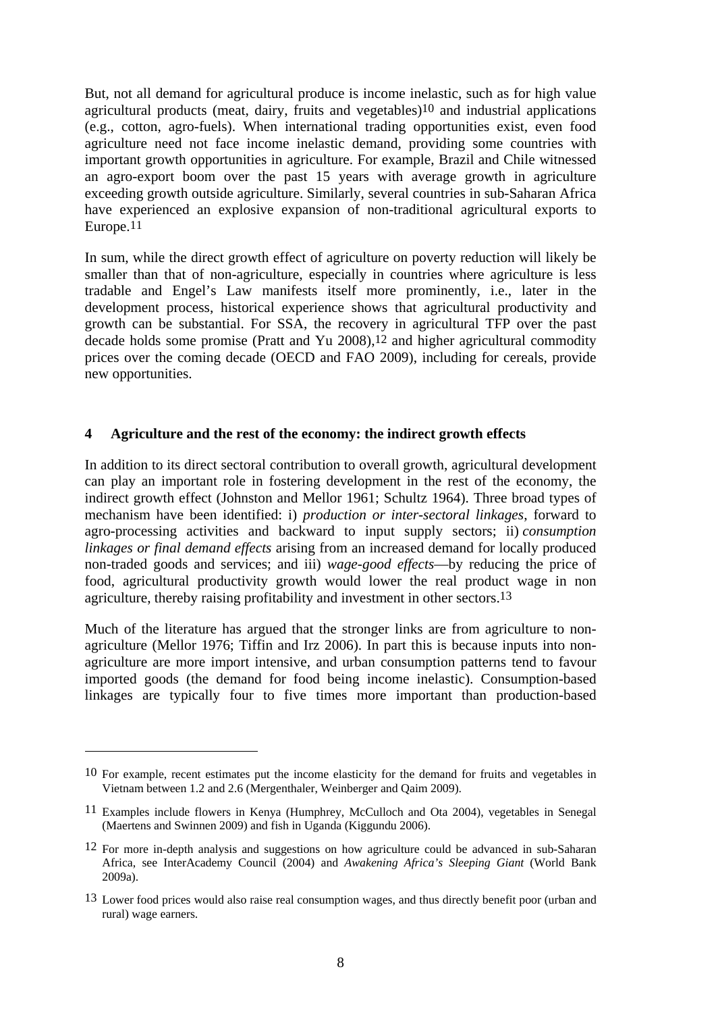But, not all demand for agricultural produce is income inelastic, such as for high value agricultural products (meat, dairy, fruits and vegetables)10 and industrial applications (e.g., cotton, agro-fuels). When international trading opportunities exist, even food agriculture need not face income inelastic demand, providing some countries with important growth opportunities in agriculture. For example, Brazil and Chile witnessed an agro-export boom over the past 15 years with average growth in agriculture exceeding growth outside agriculture. Similarly, several countries in sub-Saharan Africa have experienced an explosive expansion of non-traditional agricultural exports to Europe.11

In sum, while the direct growth effect of agriculture on poverty reduction will likely be smaller than that of non-agriculture, especially in countries where agriculture is less tradable and Engel's Law manifests itself more prominently, i.e., later in the development process, historical experience shows that agricultural productivity and growth can be substantial. For SSA, the recovery in agricultural TFP over the past decade holds some promise (Pratt and Yu 2008),12 and higher agricultural commodity prices over the coming decade (OECD and FAO 2009), including for cereals, provide new opportunities.

#### **4 Agriculture and the rest of the economy: the indirect growth effects**

In addition to its direct sectoral contribution to overall growth, agricultural development can play an important role in fostering development in the rest of the economy, the indirect growth effect (Johnston and Mellor 1961; Schultz 1964). Three broad types of mechanism have been identified: i) *production or inter-sectoral linkages*, forward to agro-processing activities and backward to input supply sectors; ii) *consumption linkages or final demand effects* arising from an increased demand for locally produced non-traded goods and services; and iii) *wage-good effects*—by reducing the price of food, agricultural productivity growth would lower the real product wage in non agriculture, thereby raising profitability and investment in other sectors.13

Much of the literature has argued that the stronger links are from agriculture to nonagriculture (Mellor 1976; Tiffin and Irz 2006). In part this is because inputs into nonagriculture are more import intensive, and urban consumption patterns tend to favour imported goods (the demand for food being income inelastic). Consumption-based linkages are typically four to five times more important than production-based

<sup>10</sup> For example, recent estimates put the income elasticity for the demand for fruits and vegetables in Vietnam between 1.2 and 2.6 (Mergenthaler, Weinberger and Qaim 2009).

<sup>11</sup> Examples include flowers in Kenya (Humphrey, McCulloch and Ota 2004), vegetables in Senegal (Maertens and Swinnen 2009) and fish in Uganda (Kiggundu 2006).

<sup>12</sup> For more in-depth analysis and suggestions on how agriculture could be advanced in sub-Saharan Africa, see InterAcademy Council (2004) and *Awakening Africa's Sleeping Giant* (World Bank 2009a).

<sup>13</sup> Lower food prices would also raise real consumption wages, and thus directly benefit poor (urban and rural) wage earners.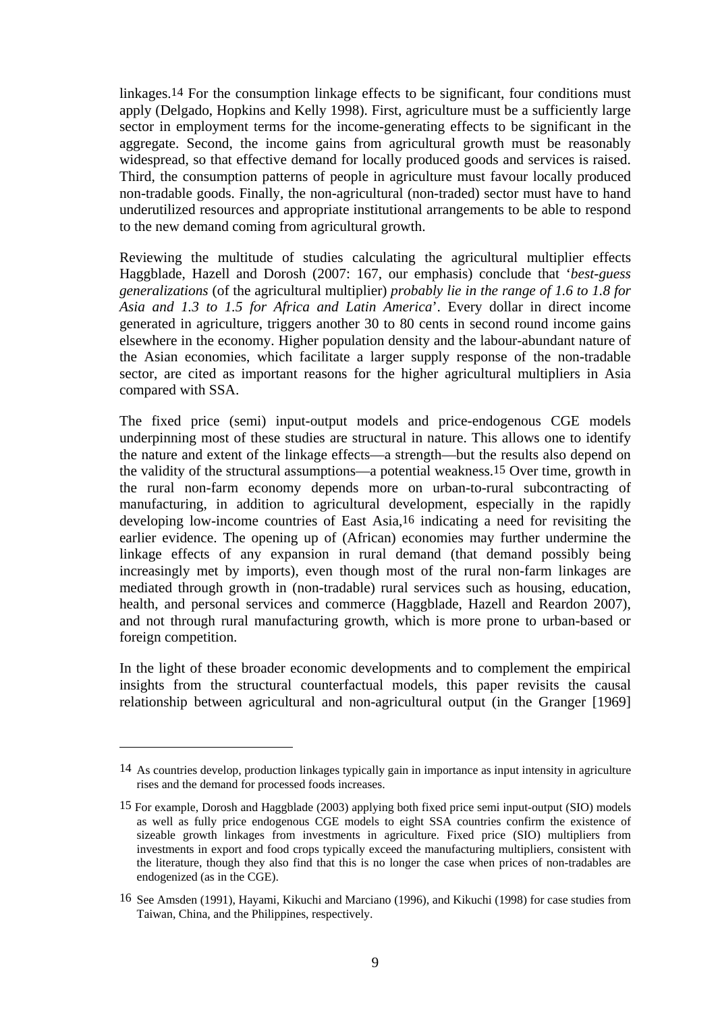linkages.14 For the consumption linkage effects to be significant, four conditions must apply (Delgado, Hopkins and Kelly 1998). First, agriculture must be a sufficiently large sector in employment terms for the income-generating effects to be significant in the aggregate. Second, the income gains from agricultural growth must be reasonably widespread, so that effective demand for locally produced goods and services is raised. Third, the consumption patterns of people in agriculture must favour locally produced non-tradable goods. Finally, the non-agricultural (non-traded) sector must have to hand underutilized resources and appropriate institutional arrangements to be able to respond to the new demand coming from agricultural growth.

Reviewing the multitude of studies calculating the agricultural multiplier effects Haggblade, Hazell and Dorosh (2007: 167, our emphasis) conclude that '*best-guess generalizations* (of the agricultural multiplier) *probably lie in the range of 1.6 to 1.8 for Asia and 1.3 to 1.5 for Africa and Latin America*'. Every dollar in direct income generated in agriculture, triggers another 30 to 80 cents in second round income gains elsewhere in the economy. Higher population density and the labour-abundant nature of the Asian economies, which facilitate a larger supply response of the non-tradable sector, are cited as important reasons for the higher agricultural multipliers in Asia compared with SSA.

The fixed price (semi) input-output models and price-endogenous CGE models underpinning most of these studies are structural in nature. This allows one to identify the nature and extent of the linkage effects—a strength—but the results also depend on the validity of the structural assumptions—a potential weakness.15 Over time, growth in the rural non-farm economy depends more on urban-to-rural subcontracting of manufacturing, in addition to agricultural development, especially in the rapidly developing low-income countries of East Asia,16 indicating a need for revisiting the earlier evidence. The opening up of (African) economies may further undermine the linkage effects of any expansion in rural demand (that demand possibly being increasingly met by imports), even though most of the rural non-farm linkages are mediated through growth in (non-tradable) rural services such as housing, education, health, and personal services and commerce (Haggblade, Hazell and Reardon 2007), and not through rural manufacturing growth, which is more prone to urban-based or foreign competition.

In the light of these broader economic developments and to complement the empirical insights from the structural counterfactual models, this paper revisits the causal relationship between agricultural and non-agricultural output (in the Granger [1969]

<sup>14</sup> As countries develop, production linkages typically gain in importance as input intensity in agriculture rises and the demand for processed foods increases.

<sup>15</sup> For example, Dorosh and Haggblade (2003) applying both fixed price semi input-output (SIO) models as well as fully price endogenous CGE models to eight SSA countries confirm the existence of sizeable growth linkages from investments in agriculture. Fixed price (SIO) multipliers from investments in export and food crops typically exceed the manufacturing multipliers, consistent with the literature, though they also find that this is no longer the case when prices of non-tradables are endogenized (as in the CGE).

<sup>16</sup> See Amsden (1991), Hayami, Kikuchi and Marciano (1996), and Kikuchi (1998) for case studies from Taiwan, China, and the Philippines, respectively.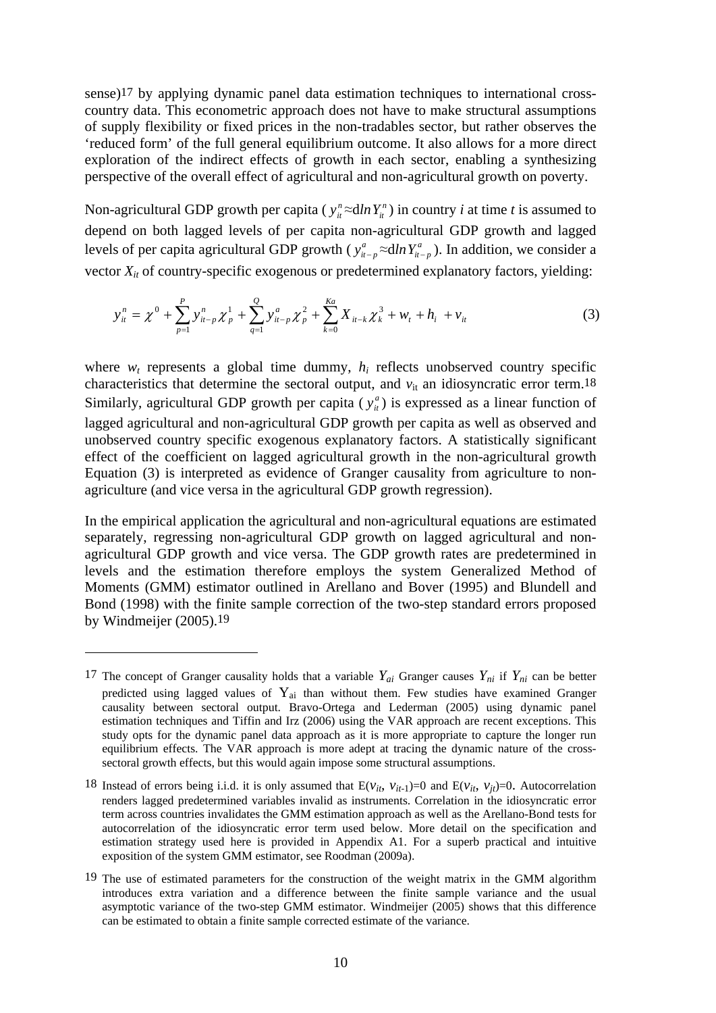sense)17 by applying dynamic panel data estimation techniques to international crosscountry data. This econometric approach does not have to make structural assumptions of supply flexibility or fixed prices in the non-tradables sector, but rather observes the 'reduced form' of the full general equilibrium outcome. It also allows for a more direct exploration of the indirect effects of growth in each sector, enabling a synthesizing perspective of the overall effect of agricultural and non-agricultural growth on poverty.

Non-agricultural GDP growth per capita ( $y_i^n \approx dln Y_i^n$ ) in country *i* at time *t* is assumed to depend on both lagged levels of per capita non-agricultural GDP growth and lagged levels of per capita agricultural GDP growth ( $y_{u-p}^a \approx d/n Y_{u-p}^a$ ). In addition, we consider a vector  $X_{it}$  of country-specific exogenous or predetermined explanatory factors, yielding:

$$
y_{it}^{n} = \chi^{0} + \sum_{p=1}^{P} y_{it-p}^{n} \chi_{p}^{1} + \sum_{q=1}^{Q} y_{it-p}^{a} \chi_{p}^{2} + \sum_{k=0}^{Ka} X_{it-k} \chi_{k}^{3} + w_{t} + h_{i} + v_{it}
$$
(3)

where  $w_t$  represents a global time dummy,  $h_i$  reflects unobserved country specific characteristics that determine the sectoral output, and  $v_{it}$  an idiosyncratic error term.<sup>18</sup> Similarly, agricultural GDP growth per capita ( $y_{it}^{a}$ ) is expressed as a linear function of lagged agricultural and non-agricultural GDP growth per capita as well as observed and unobserved country specific exogenous explanatory factors. A statistically significant effect of the coefficient on lagged agricultural growth in the non-agricultural growth Equation (3) is interpreted as evidence of Granger causality from agriculture to nonagriculture (and vice versa in the agricultural GDP growth regression).

In the empirical application the agricultural and non-agricultural equations are estimated separately, regressing non-agricultural GDP growth on lagged agricultural and nonagricultural GDP growth and vice versa. The GDP growth rates are predetermined in levels and the estimation therefore employs the system Generalized Method of Moments (GMM) estimator outlined in Arellano and Bover (1995) and Blundell and Bond (1998) with the finite sample correction of the two-step standard errors proposed by Windmeijer (2005).19

<sup>&</sup>lt;sup>17</sup> The concept of Granger causality holds that a variable  $Y_{ai}$  Granger causes  $Y_{ni}$  if  $Y_{ni}$  can be better predicted using lagged values of  $Y_{ai}$  than without them. Few studies have examined Granger causality between sectoral output. Bravo-Ortega and Lederman (2005) using dynamic panel estimation techniques and Tiffin and Irz (2006) using the VAR approach are recent exceptions. This study opts for the dynamic panel data approach as it is more appropriate to capture the longer run equilibrium effects. The VAR approach is more adept at tracing the dynamic nature of the crosssectoral growth effects, but this would again impose some structural assumptions.

<sup>18</sup> Instead of errors being i.i.d. it is only assumed that  $E(v_{it}, v_{it-1})=0$  and  $E(v_{it}, v_{it})=0$ . Autocorrelation renders lagged predetermined variables invalid as instruments. Correlation in the idiosyncratic error term across countries invalidates the GMM estimation approach as well as the Arellano-Bond tests for autocorrelation of the idiosyncratic error term used below. More detail on the specification and estimation strategy used here is provided in Appendix A1. For a superb practical and intuitive exposition of the system GMM estimator, see Roodman (2009a).

<sup>19</sup> The use of estimated parameters for the construction of the weight matrix in the GMM algorithm introduces extra variation and a difference between the finite sample variance and the usual asymptotic variance of the two-step GMM estimator. Windmeijer (2005) shows that this difference can be estimated to obtain a finite sample corrected estimate of the variance.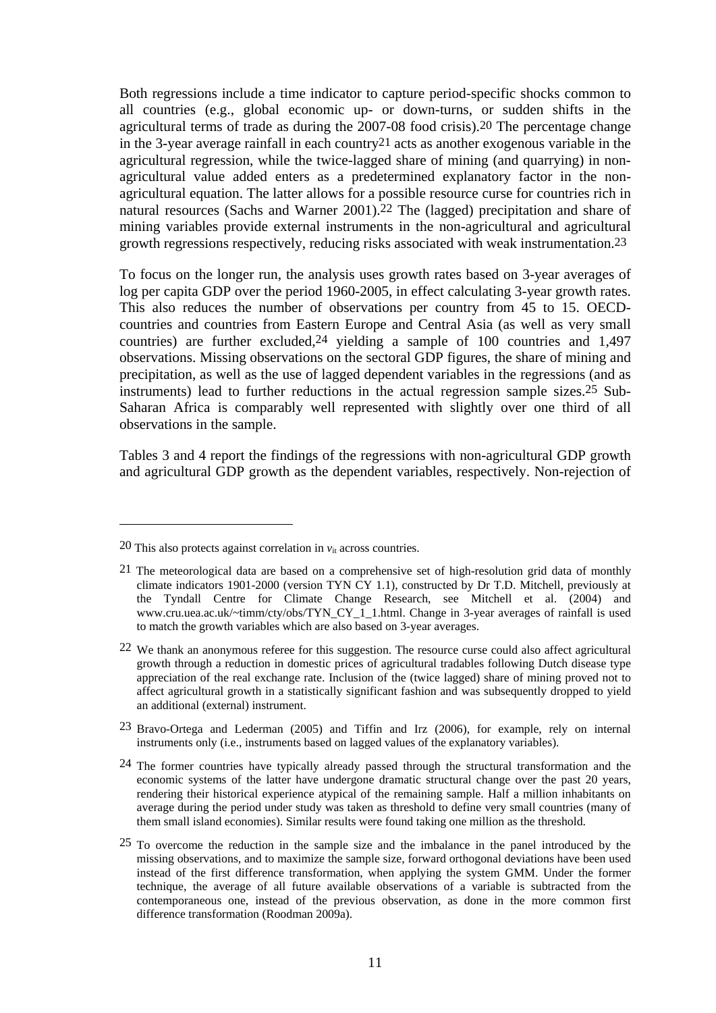Both regressions include a time indicator to capture period-specific shocks common to all countries (e.g., global economic up- or down-turns, or sudden shifts in the agricultural terms of trade as during the 2007-08 food crisis).20 The percentage change in the 3-year average rainfall in each country21 acts as another exogenous variable in the agricultural regression, while the twice-lagged share of mining (and quarrying) in nonagricultural value added enters as a predetermined explanatory factor in the nonagricultural equation. The latter allows for a possible resource curse for countries rich in natural resources (Sachs and Warner 2001).22 The (lagged) precipitation and share of mining variables provide external instruments in the non-agricultural and agricultural growth regressions respectively, reducing risks associated with weak instrumentation.23

To focus on the longer run, the analysis uses growth rates based on 3-year averages of log per capita GDP over the period 1960-2005, in effect calculating 3-year growth rates. This also reduces the number of observations per country from 45 to 15. OECDcountries and countries from Eastern Europe and Central Asia (as well as very small countries) are further excluded,24 yielding a sample of 100 countries and 1,497 observations. Missing observations on the sectoral GDP figures, the share of mining and precipitation, as well as the use of lagged dependent variables in the regressions (and as instruments) lead to further reductions in the actual regression sample sizes.25 Sub-Saharan Africa is comparably well represented with slightly over one third of all observations in the sample.

Tables 3 and 4 report the findings of the regressions with non-agricultural GDP growth and agricultural GDP growth as the dependent variables, respectively. Non-rejection of

<sup>20</sup> This also protects against correlation in  $v_{it}$  across countries.

<sup>21</sup> The meteorological data are based on a comprehensive set of high-resolution grid data of monthly climate indicators 1901-2000 (version TYN CY 1.1), constructed by Dr T.D. Mitchell, previously at the Tyndall Centre for Climate Change Research, see Mitchell et al. (2004) and www.cru.uea.ac.uk/~timm/cty/obs/TYN\_CY\_1\_1.html. Change in 3-year averages of rainfall is used to match the growth variables which are also based on 3-year averages.

<sup>22</sup> We thank an anonymous referee for this suggestion. The resource curse could also affect agricultural growth through a reduction in domestic prices of agricultural tradables following Dutch disease type appreciation of the real exchange rate. Inclusion of the (twice lagged) share of mining proved not to affect agricultural growth in a statistically significant fashion and was subsequently dropped to yield an additional (external) instrument.

<sup>23</sup> Bravo-Ortega and Lederman (2005) and Tiffin and Irz (2006), for example, rely on internal instruments only (i.e., instruments based on lagged values of the explanatory variables).

<sup>&</sup>lt;sup>24</sup> The former countries have typically already passed through the structural transformation and the economic systems of the latter have undergone dramatic structural change over the past 20 years, rendering their historical experience atypical of the remaining sample. Half a million inhabitants on average during the period under study was taken as threshold to define very small countries (many of them small island economies). Similar results were found taking one million as the threshold.

<sup>25</sup> To overcome the reduction in the sample size and the imbalance in the panel introduced by the missing observations, and to maximize the sample size, forward orthogonal deviations have been used instead of the first difference transformation, when applying the system GMM. Under the former technique, the average of all future available observations of a variable is subtracted from the contemporaneous one, instead of the previous observation, as done in the more common first difference transformation (Roodman 2009a).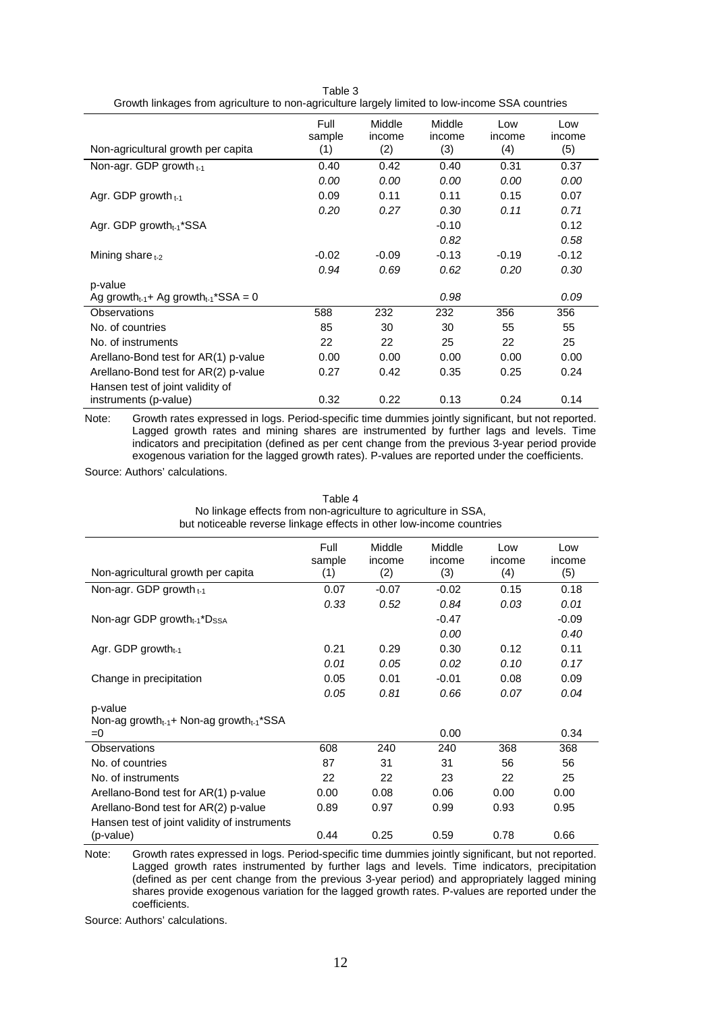| Non-agricultural growth per capita                        | Full<br>sample<br>(1) | Middle<br>income<br>(2) | Middle<br>income<br>(3) | Low<br>income<br>(4) | Low<br>income<br>(5) |
|-----------------------------------------------------------|-----------------------|-------------------------|-------------------------|----------------------|----------------------|
| Non-agr. GDP growth t-1                                   | 0.40                  | 0.42                    | 0.40                    | 0.31                 | 0.37                 |
|                                                           | 0.00                  | 0.00                    | 0.00                    | 0.00                 | 0.00                 |
| Agr. GDP growth $t-1$                                     | 0.09                  | 0.11                    | 0.11                    | 0.15                 | 0.07                 |
|                                                           | 0.20                  | 0.27                    | 0.30                    | 0.11                 | 0.71                 |
| Agr. GDP growth <sub>t-1</sub> *SSA                       |                       |                         | $-0.10$                 |                      | 0.12                 |
|                                                           |                       |                         | 0.82                    |                      | 0.58                 |
| Mining share $t-2$                                        | $-0.02$               | $-0.09$                 | $-0.13$                 | $-0.19$              | $-0.12$              |
|                                                           | 0.94                  | 0.69                    | 0.62                    | 0.20                 | 0.30                 |
| p-value                                                   |                       |                         |                         |                      |                      |
| Ag growth $t_{t-1}$ + Ag growth $t_{t-1}$ *SSA = 0        |                       |                         | 0.98                    |                      | 0.09                 |
| <b>Observations</b>                                       | 588                   | 232                     | 232                     | 356                  | 356                  |
| No. of countries                                          | 85                    | 30                      | 30                      | 55                   | 55                   |
| No. of instruments                                        | 22                    | 22                      | 25                      | 22                   | 25                   |
| Arellano-Bond test for AR(1) p-value                      | 0.00                  | 0.00                    | 0.00                    | 0.00                 | 0.00                 |
| Arellano-Bond test for AR(2) p-value                      | 0.27                  | 0.42                    | 0.35                    | 0.25                 | 0.24                 |
| Hansen test of joint validity of<br>instruments (p-value) | 0.32                  | 0.22                    | 0.13                    | 0.24                 | 0.14                 |

Table 3 Growth linkages from agriculture to non-agriculture largely limited to low-income SSA countries

Note: Growth rates expressed in logs. Period-specific time dummies jointly significant, but not reported. Lagged growth rates and mining shares are instrumented by further lags and levels. Time indicators and precipitation (defined as per cent change from the previous 3-year period provide exogenous variation for the lagged growth rates). P-values are reported under the coefficients.

Source: Authors' calculations.

| Non-agricultural growth per capita                                       | Full<br>sample<br>(1) | Middle<br>income<br>(2) | Middle<br>income<br>(3) | Low<br>income<br>(4) | Low<br>income<br>(5) |
|--------------------------------------------------------------------------|-----------------------|-------------------------|-------------------------|----------------------|----------------------|
| Non-agr. GDP growth t-1                                                  | 0.07                  | $-0.07$                 | $-0.02$                 | 0.15                 | 0.18                 |
|                                                                          | 0.33                  | 0.52                    | 0.84                    | 0.03                 | 0.01                 |
| Non-agr GDP growth $_{t-1}$ *D <sub>SSA</sub>                            |                       |                         | $-0.47$                 |                      | $-0.09$              |
|                                                                          |                       |                         | 0.00                    |                      | 0.40                 |
| Agr. GDP growth $_{t-1}$                                                 | 0.21                  | 0.29                    | 0.30                    | 0.12                 | 0.11                 |
|                                                                          | 0.01                  | 0.05                    | 0.02                    | 0.10                 | 0.17                 |
| Change in precipitation                                                  | 0.05                  | 0.01                    | $-0.01$                 | 0.08                 | 0.09                 |
|                                                                          | 0.05                  | 0.81                    | 0.66                    | 0.07                 | 0.04                 |
| p-value<br>Non-ag growth $_{t-1}$ + Non-ag growth $_{t-1}$ *SSA<br>$= 0$ |                       |                         | 0.00                    |                      | 0.34                 |
| <b>Observations</b>                                                      | 608                   | 240                     | 240                     | 368                  | 368                  |
| No. of countries                                                         | 87                    | 31                      | 31                      | 56                   | 56                   |
| No. of instruments                                                       | 22                    | 22                      | 23                      | 22                   | 25                   |
| Arellano-Bond test for AR(1) p-value                                     | 0.00                  | 0.08                    | 0.06                    | 0.00                 | 0.00                 |
| Arellano-Bond test for AR(2) p-value                                     | 0.89                  | 0.97                    | 0.99                    | 0.93                 | 0.95                 |
| Hansen test of joint validity of instruments<br>(p-value)                | 0.44                  | 0.25                    | 0.59                    | 0.78                 | 0.66                 |

Table 4 No linkage effects from non-agriculture to agriculture in SSA, but noticeable reverse linkage effects in other low-income countries

Note: Growth rates expressed in logs. Period-specific time dummies jointly significant, but not reported. Lagged growth rates instrumented by further lags and levels. Time indicators, precipitation (defined as per cent change from the previous 3-year period) and appropriately lagged mining shares provide exogenous variation for the lagged growth rates. P-values are reported under the coefficients.

Source: Authors' calculations.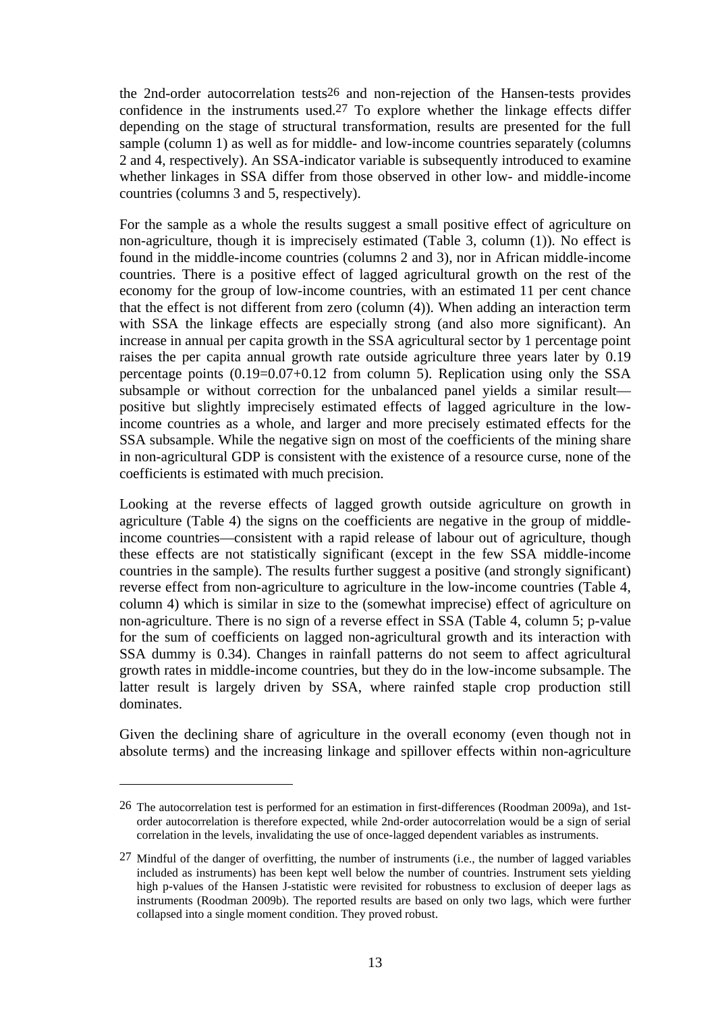the 2nd-order autocorrelation tests26 and non-rejection of the Hansen-tests provides confidence in the instruments used.27 To explore whether the linkage effects differ depending on the stage of structural transformation, results are presented for the full sample (column 1) as well as for middle- and low-income countries separately (columns 2 and 4, respectively). An SSA-indicator variable is subsequently introduced to examine whether linkages in SSA differ from those observed in other low- and middle-income countries (columns 3 and 5, respectively).

For the sample as a whole the results suggest a small positive effect of agriculture on non-agriculture, though it is imprecisely estimated (Table 3, column (1)). No effect is found in the middle-income countries (columns 2 and 3), nor in African middle-income countries. There is a positive effect of lagged agricultural growth on the rest of the economy for the group of low-income countries, with an estimated 11 per cent chance that the effect is not different from zero (column (4)). When adding an interaction term with SSA the linkage effects are especially strong (and also more significant). An increase in annual per capita growth in the SSA agricultural sector by 1 percentage point raises the per capita annual growth rate outside agriculture three years later by 0.19 percentage points (0.19=0.07+0.12 from column 5). Replication using only the SSA subsample or without correction for the unbalanced panel yields a similar result positive but slightly imprecisely estimated effects of lagged agriculture in the lowincome countries as a whole, and larger and more precisely estimated effects for the SSA subsample. While the negative sign on most of the coefficients of the mining share in non-agricultural GDP is consistent with the existence of a resource curse, none of the coefficients is estimated with much precision.

Looking at the reverse effects of lagged growth outside agriculture on growth in agriculture (Table 4) the signs on the coefficients are negative in the group of middleincome countries—consistent with a rapid release of labour out of agriculture, though these effects are not statistically significant (except in the few SSA middle-income countries in the sample). The results further suggest a positive (and strongly significant) reverse effect from non-agriculture to agriculture in the low-income countries (Table 4, column 4) which is similar in size to the (somewhat imprecise) effect of agriculture on non-agriculture. There is no sign of a reverse effect in SSA (Table 4, column 5; p-value for the sum of coefficients on lagged non-agricultural growth and its interaction with SSA dummy is 0.34). Changes in rainfall patterns do not seem to affect agricultural growth rates in middle-income countries, but they do in the low-income subsample. The latter result is largely driven by SSA, where rainfed staple crop production still dominates.

Given the declining share of agriculture in the overall economy (even though not in absolute terms) and the increasing linkage and spillover effects within non-agriculture

<sup>26</sup> The autocorrelation test is performed for an estimation in first-differences (Roodman 2009a), and 1storder autocorrelation is therefore expected, while 2nd-order autocorrelation would be a sign of serial correlation in the levels, invalidating the use of once-lagged dependent variables as instruments.

<sup>27</sup> Mindful of the danger of overfitting, the number of instruments (i.e., the number of lagged variables included as instruments) has been kept well below the number of countries. Instrument sets yielding high p-values of the Hansen J-statistic were revisited for robustness to exclusion of deeper lags as instruments (Roodman 2009b). The reported results are based on only two lags, which were further collapsed into a single moment condition. They proved robust.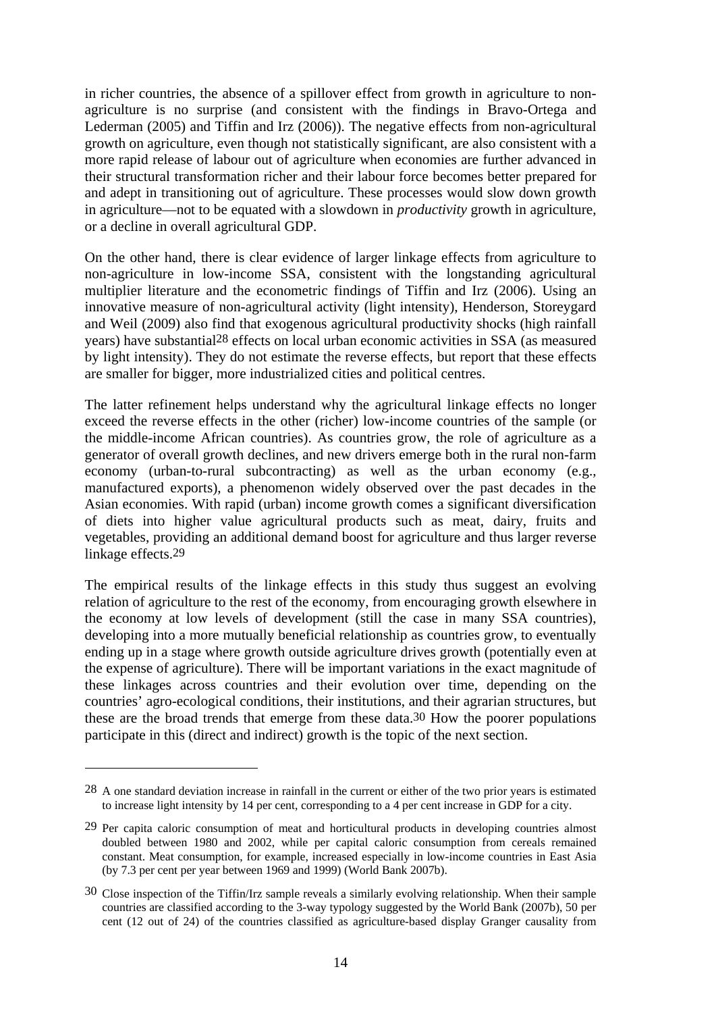in richer countries, the absence of a spillover effect from growth in agriculture to nonagriculture is no surprise (and consistent with the findings in Bravo-Ortega and Lederman (2005) and Tiffin and Irz (2006)). The negative effects from non-agricultural growth on agriculture, even though not statistically significant, are also consistent with a more rapid release of labour out of agriculture when economies are further advanced in their structural transformation richer and their labour force becomes better prepared for and adept in transitioning out of agriculture. These processes would slow down growth in agriculture—not to be equated with a slowdown in *productivity* growth in agriculture, or a decline in overall agricultural GDP.

On the other hand, there is clear evidence of larger linkage effects from agriculture to non-agriculture in low-income SSA, consistent with the longstanding agricultural multiplier literature and the econometric findings of Tiffin and Irz (2006). Using an innovative measure of non-agricultural activity (light intensity), Henderson, Storeygard and Weil (2009) also find that exogenous agricultural productivity shocks (high rainfall years) have substantial28 effects on local urban economic activities in SSA (as measured by light intensity). They do not estimate the reverse effects, but report that these effects are smaller for bigger, more industrialized cities and political centres.

The latter refinement helps understand why the agricultural linkage effects no longer exceed the reverse effects in the other (richer) low-income countries of the sample (or the middle-income African countries). As countries grow, the role of agriculture as a generator of overall growth declines, and new drivers emerge both in the rural non-farm economy (urban-to-rural subcontracting) as well as the urban economy (e.g., manufactured exports), a phenomenon widely observed over the past decades in the Asian economies. With rapid (urban) income growth comes a significant diversification of diets into higher value agricultural products such as meat, dairy, fruits and vegetables, providing an additional demand boost for agriculture and thus larger reverse linkage effects.29

The empirical results of the linkage effects in this study thus suggest an evolving relation of agriculture to the rest of the economy, from encouraging growth elsewhere in the economy at low levels of development (still the case in many SSA countries), developing into a more mutually beneficial relationship as countries grow, to eventually ending up in a stage where growth outside agriculture drives growth (potentially even at the expense of agriculture). There will be important variations in the exact magnitude of these linkages across countries and their evolution over time, depending on the countries' agro-ecological conditions, their institutions, and their agrarian structures, but these are the broad trends that emerge from these data.30 How the poorer populations participate in this (direct and indirect) growth is the topic of the next section.

<sup>28</sup> A one standard deviation increase in rainfall in the current or either of the two prior years is estimated to increase light intensity by 14 per cent, corresponding to a 4 per cent increase in GDP for a city.

<sup>29</sup> Per capita caloric consumption of meat and horticultural products in developing countries almost doubled between 1980 and 2002, while per capital caloric consumption from cereals remained constant. Meat consumption, for example, increased especially in low-income countries in East Asia (by 7.3 per cent per year between 1969 and 1999) (World Bank 2007b).

<sup>30</sup> Close inspection of the Tiffin/Irz sample reveals a similarly evolving relationship. When their sample countries are classified according to the 3-way typology suggested by the World Bank (2007b), 50 per cent (12 out of 24) of the countries classified as agriculture-based display Granger causality from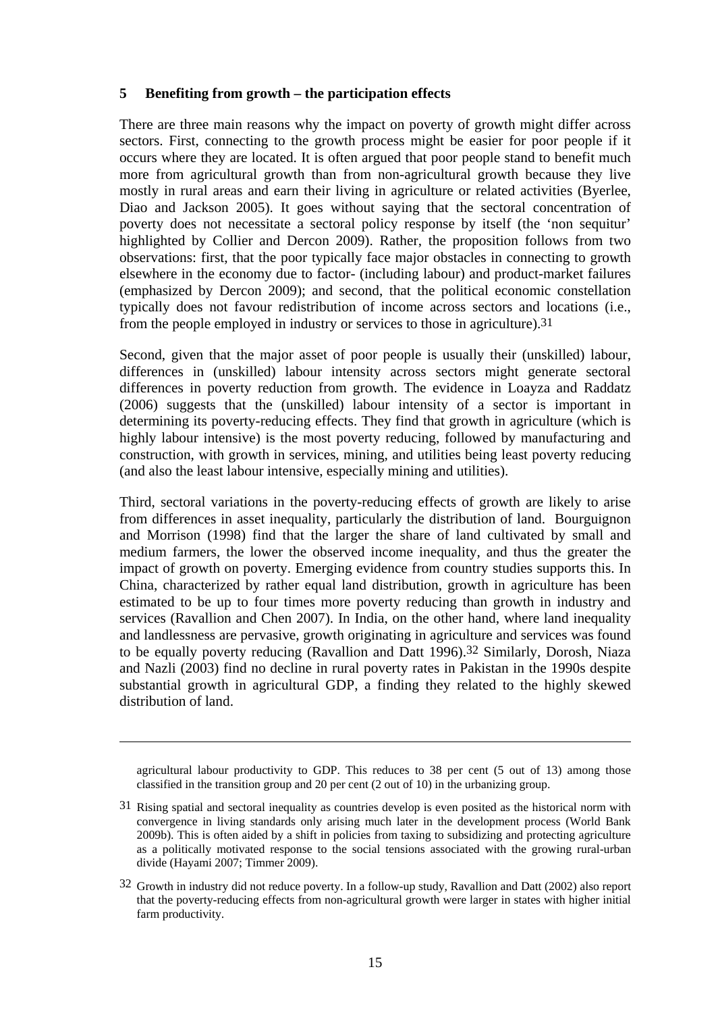#### **5 Benefiting from growth – the participation effects**

There are three main reasons why the impact on poverty of growth might differ across sectors. First, connecting to the growth process might be easier for poor people if it occurs where they are located. It is often argued that poor people stand to benefit much more from agricultural growth than from non-agricultural growth because they live mostly in rural areas and earn their living in agriculture or related activities (Byerlee, Diao and Jackson 2005). It goes without saying that the sectoral concentration of poverty does not necessitate a sectoral policy response by itself (the 'non sequitur' highlighted by Collier and Dercon 2009). Rather, the proposition follows from two observations: first, that the poor typically face major obstacles in connecting to growth elsewhere in the economy due to factor- (including labour) and product-market failures (emphasized by Dercon 2009); and second, that the political economic constellation typically does not favour redistribution of income across sectors and locations (i.e., from the people employed in industry or services to those in agriculture).31

Second, given that the major asset of poor people is usually their (unskilled) labour, differences in (unskilled) labour intensity across sectors might generate sectoral differences in poverty reduction from growth. The evidence in Loayza and Raddatz (2006) suggests that the (unskilled) labour intensity of a sector is important in determining its poverty-reducing effects. They find that growth in agriculture (which is highly labour intensive) is the most poverty reducing, followed by manufacturing and construction, with growth in services, mining, and utilities being least poverty reducing (and also the least labour intensive, especially mining and utilities).

Third, sectoral variations in the poverty-reducing effects of growth are likely to arise from differences in asset inequality, particularly the distribution of land. Bourguignon and Morrison (1998) find that the larger the share of land cultivated by small and medium farmers, the lower the observed income inequality, and thus the greater the impact of growth on poverty. Emerging evidence from country studies supports this. In China, characterized by rather equal land distribution, growth in agriculture has been estimated to be up to four times more poverty reducing than growth in industry and services (Ravallion and Chen 2007). In India, on the other hand, where land inequality and landlessness are pervasive, growth originating in agriculture and services was found to be equally poverty reducing (Ravallion and Datt 1996).32 Similarly, Dorosh, Niaza and Nazli (2003) find no decline in rural poverty rates in Pakistan in the 1990s despite substantial growth in agricultural GDP, a finding they related to the highly skewed distribution of land.

agricultural labour productivity to GDP. This reduces to 38 per cent (5 out of 13) among those classified in the transition group and 20 per cent (2 out of 10) in the urbanizing group.

<u>.</u>

<sup>31</sup> Rising spatial and sectoral inequality as countries develop is even posited as the historical norm with convergence in living standards only arising much later in the development process (World Bank 2009b). This is often aided by a shift in policies from taxing to subsidizing and protecting agriculture as a politically motivated response to the social tensions associated with the growing rural-urban divide (Hayami 2007; Timmer 2009).

<sup>32</sup> Growth in industry did not reduce poverty. In a follow-up study, Ravallion and Datt (2002) also report that the poverty-reducing effects from non-agricultural growth were larger in states with higher initial farm productivity.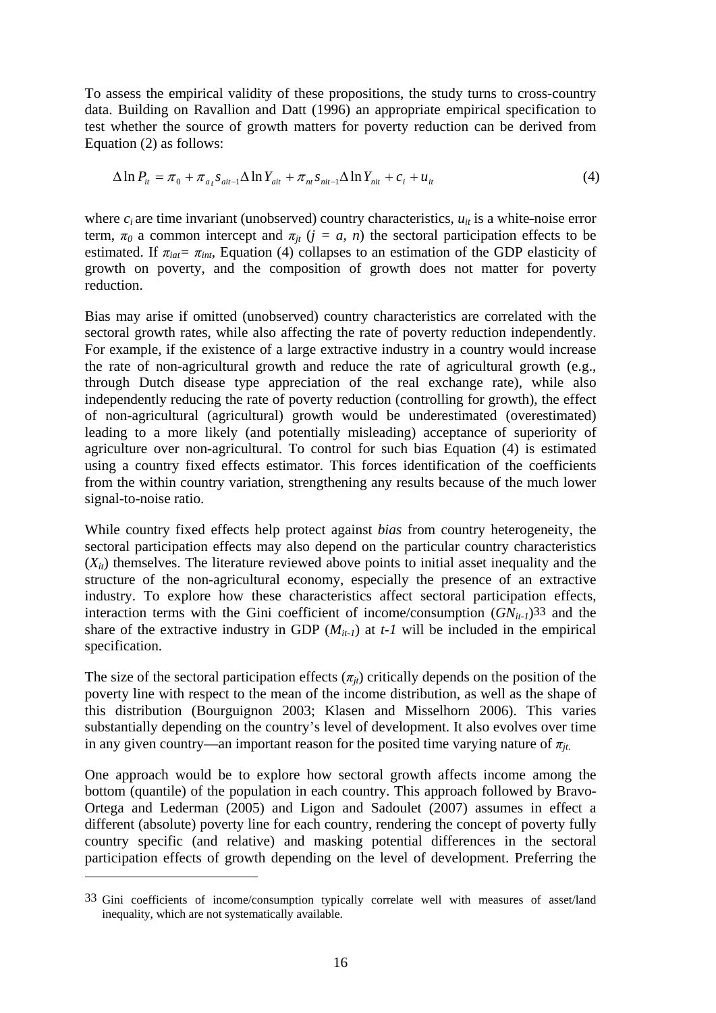To assess the empirical validity of these propositions, the study turns to cross-country data. Building on Ravallion and Datt (1996) an appropriate empirical specification to test whether the source of growth matters for poverty reduction can be derived from Equation (2) as follows:

$$
\Delta \ln P_{it} = \pi_0 + \pi_{at} s_{ait-1} \Delta \ln Y_{ait} + \pi_{nt} s_{nit-1} \Delta \ln Y_{nit} + c_i + u_{it}
$$
\n(4)

where  $c_i$  are time invariant (unobserved) country characteristics,  $u_{it}$  is a white-noise error term,  $\pi_0$  a common intercept and  $\pi_{it}$  ( $j = a$ , n) the sectoral participation effects to be estimated. If  $\pi_{iat} = \pi_{int}$ , Equation (4) collapses to an estimation of the GDP elasticity of growth on poverty, and the composition of growth does not matter for poverty reduction.

Bias may arise if omitted (unobserved) country characteristics are correlated with the sectoral growth rates, while also affecting the rate of poverty reduction independently. For example, if the existence of a large extractive industry in a country would increase the rate of non-agricultural growth and reduce the rate of agricultural growth (e.g., through Dutch disease type appreciation of the real exchange rate), while also independently reducing the rate of poverty reduction (controlling for growth), the effect of non-agricultural (agricultural) growth would be underestimated (overestimated) leading to a more likely (and potentially misleading) acceptance of superiority of agriculture over non-agricultural. To control for such bias Equation (4) is estimated using a country fixed effects estimator. This forces identification of the coefficients from the within country variation, strengthening any results because of the much lower signal-to-noise ratio.

While country fixed effects help protect against *bias* from country heterogeneity, the sectoral participation effects may also depend on the particular country characteristics  $(X_{it})$  themselves. The literature reviewed above points to initial asset inequality and the structure of the non-agricultural economy, especially the presence of an extractive industry. To explore how these characteristics affect sectoral participation effects, interaction terms with the Gini coefficient of income/consumption  $(GN_{it-1})^{33}$  and the share of the extractive industry in GDP  $(M_{it-1})$  at  $t-1$  will be included in the empirical specification.

The size of the sectoral participation effects  $(\pi_{it})$  critically depends on the position of the poverty line with respect to the mean of the income distribution, as well as the shape of this distribution (Bourguignon 2003; Klasen and Misselhorn 2006). This varies substantially depending on the country's level of development. It also evolves over time in any given country—an important reason for the posited time varying nature of  $\pi_{it}$ .

One approach would be to explore how sectoral growth affects income among the bottom (quantile) of the population in each country. This approach followed by Bravo-Ortega and Lederman (2005) and Ligon and Sadoulet (2007) assumes in effect a different (absolute) poverty line for each country, rendering the concept of poverty fully country specific (and relative) and masking potential differences in the sectoral participation effects of growth depending on the level of development. Preferring the

<sup>33</sup> Gini coefficients of income/consumption typically correlate well with measures of asset/land inequality, which are not systematically available.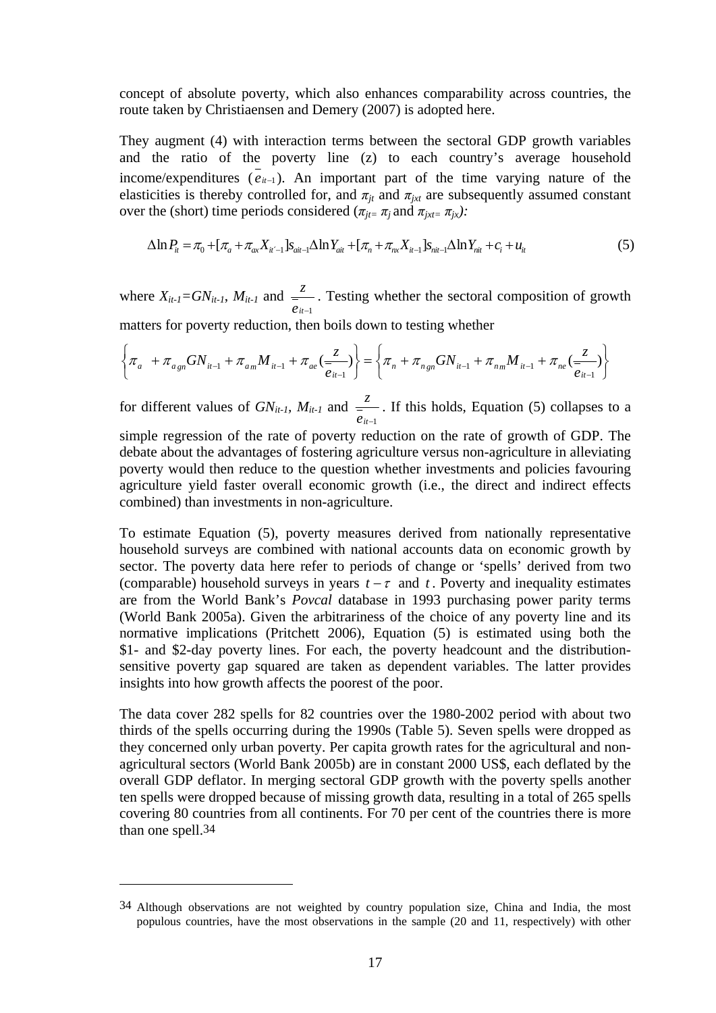concept of absolute poverty, which also enhances comparability across countries, the route taken by Christiaensen and Demery (2007) is adopted here.

They augment (4) with interaction terms between the sectoral GDP growth variables and the ratio of the poverty line (z) to each country's average household income/expenditures  $(e_{it-1})$ . An important part of the time varying nature of the elasticities is thereby controlled for, and  $\pi_{it}$  and  $\pi_{ixt}$  are subsequently assumed constant over the (short) time periods considered ( $\pi_{jt} = \pi_j$  and  $\pi_{jxt} = \pi_{jx}$ ):

$$
\Delta \ln P_{it} = \pi_0 + [\pi_a + \pi_{ax} X_{it-1}] s_{ait-1} \Delta \ln Y_{ait} + [\pi_n + \pi_{nx} X_{it-1}] s_{nit-1} \Delta \ln Y_{nit} + c_i + u_{it}
$$
(5)

where  $X_{it-1} = GN_{it-1}$ ,  $M_{it-1}$  and *eit*<sup>−</sup><sup>1</sup> *<sup>z</sup>* . Testing whether the sectoral composition of growth matters for poverty reduction, then boils down to testing whether

$$
\left\{\pi_a + \pi_{a_{gn}}GN_{i^{t-1}} + \pi_{a_m}M_{i^{t-1}} + \pi_{ae}(\frac{z}{e_{it-1}})\right\} = \left\{\pi_n + \pi_{n_{gn}}GN_{i^{t-1}} + \pi_{n_m}M_{i^{t-1}} + \pi_{ne}(\frac{z}{e_{it-1}})\right\}
$$

for different values of *GNit-1, Mit-1* and *eit*<sup>−</sup><sup>1</sup>  $\frac{z}{x}$ . If this holds, Equation (5) collapses to a

simple regression of the rate of poverty reduction on the rate of growth of GDP. The debate about the advantages of fostering agriculture versus non-agriculture in alleviating poverty would then reduce to the question whether investments and policies favouring agriculture yield faster overall economic growth (i.e., the direct and indirect effects combined) than investments in non-agriculture.

To estimate Equation (5), poverty measures derived from nationally representative household surveys are combined with national accounts data on economic growth by sector. The poverty data here refer to periods of change or 'spells' derived from two (comparable) household surveys in years  $t - \tau$  and  $t$ . Poverty and inequality estimates are from the World Bank's *Povcal* database in 1993 purchasing power parity terms (World Bank 2005a). Given the arbitrariness of the choice of any poverty line and its normative implications (Pritchett 2006), Equation (5) is estimated using both the \$1- and \$2-day poverty lines. For each, the poverty headcount and the distributionsensitive poverty gap squared are taken as dependent variables. The latter provides insights into how growth affects the poorest of the poor.

The data cover 282 spells for 82 countries over the 1980-2002 period with about two thirds of the spells occurring during the 1990s (Table 5). Seven spells were dropped as they concerned only urban poverty. Per capita growth rates for the agricultural and nonagricultural sectors (World Bank 2005b) are in constant 2000 US\$, each deflated by the overall GDP deflator. In merging sectoral GDP growth with the poverty spells another ten spells were dropped because of missing growth data, resulting in a total of 265 spells covering 80 countries from all continents. For 70 per cent of the countries there is more than one spell.34

<u>.</u>

<sup>34</sup> Although observations are not weighted by country population size, China and India, the most populous countries, have the most observations in the sample (20 and 11, respectively) with other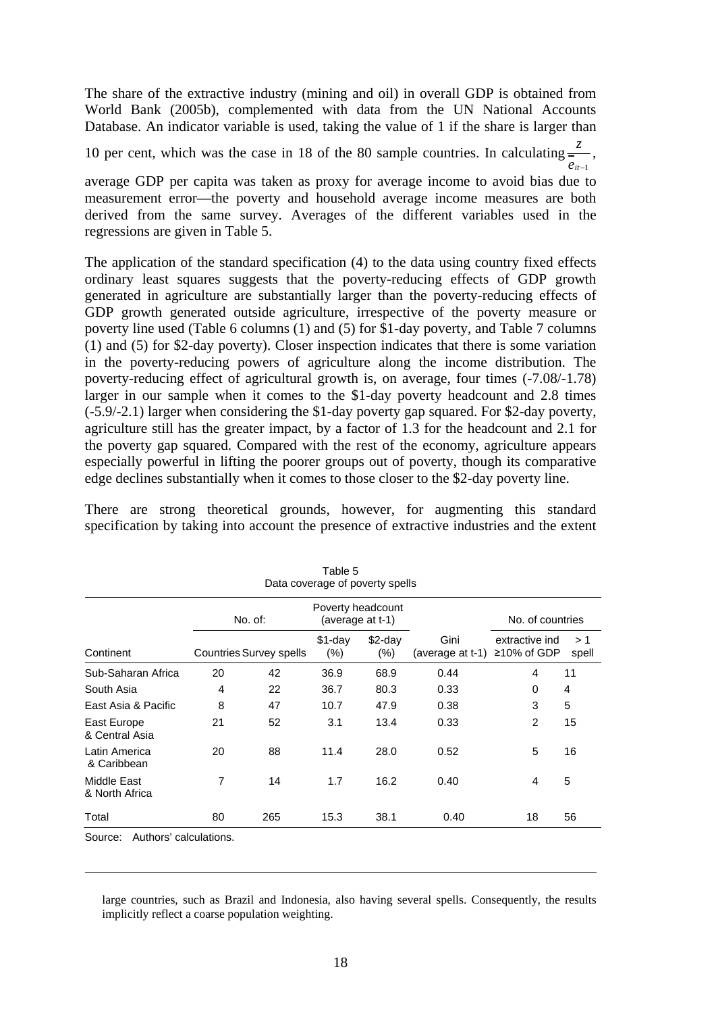The share of the extractive industry (mining and oil) in overall GDP is obtained from World Bank (2005b), complemented with data from the UN National Accounts Database. An indicator variable is used, taking the value of 1 if the share is larger than

10 per cent, which was the case in 18 of the 80 sample countries. In calculating  $\frac{z}{z}$ ,  $e_{it-1}$ 

average GDP per capita was taken as proxy for average income to avoid bias due to measurement error—the poverty and household average income measures are both derived from the same survey. Averages of the different variables used in the regressions are given in Table 5.

The application of the standard specification (4) to the data using country fixed effects ordinary least squares suggests that the poverty-reducing effects of GDP growth generated in agriculture are substantially larger than the poverty-reducing effects of GDP growth generated outside agriculture, irrespective of the poverty measure or poverty line used (Table 6 columns (1) and (5) for \$1-day poverty, and Table 7 columns (1) and (5) for \$2-day poverty). Closer inspection indicates that there is some variation in the poverty-reducing powers of agriculture along the income distribution. The poverty-reducing effect of agricultural growth is, on average, four times (-7.08/-1.78) larger in our sample when it comes to the \$1-day poverty headcount and 2.8 times (-5.9/-2.1) larger when considering the \$1-day poverty gap squared. For \$2-day poverty, agriculture still has the greater impact, by a factor of 1.3 for the headcount and 2.1 for the poverty gap squared. Compared with the rest of the economy, agriculture appears especially powerful in lifting the poorer groups out of poverty, though its comparative edge declines substantially when it comes to those closer to the \$2-day poverty line.

There are strong theoretical grounds, however, for augmenting this standard specification by taking into account the presence of extractive industries and the extent

|                                               |    |                                | i able 5             | Data coverage of poverty spells       |                          |                               |             |  |
|-----------------------------------------------|----|--------------------------------|----------------------|---------------------------------------|--------------------------|-------------------------------|-------------|--|
|                                               |    | No. of:                        |                      | Poverty headcount<br>(average at t-1) |                          | No. of countries              |             |  |
| Continent                                     |    | <b>Countries Survey spells</b> | $$1$ -day<br>$(\% )$ | $$2$ -day<br>$(\% )$                  | Gini<br>(average at t-1) | extractive ind<br>≥10% of GDP | >1<br>spell |  |
| Sub-Saharan Africa                            | 20 | 42                             | 36.9                 | 68.9                                  | 0.44                     | 4                             | 11          |  |
| South Asia                                    | 4  | 22                             | 36.7                 | 80.3                                  | 0.33                     | 0                             | 4           |  |
| East Asia & Pacific                           | 8  | 47                             | 10.7                 | 47.9                                  | 0.38                     | 3                             | 5           |  |
| East Europe<br>& Central Asia                 | 21 | 52                             | 3.1                  | 13.4                                  | 0.33                     | $\overline{2}$                | 15          |  |
| Latin America<br>& Caribbean                  | 20 | 88                             | 11.4                 | 28.0                                  | 0.52                     | 5                             | 16          |  |
| Middle East<br>& North Africa                 | 7  | 14                             | 1.7                  | 16.2                                  | 0.40                     | 4                             | 5           |  |
| Total                                         | 80 | 265                            | 15.3                 | 38.1                                  | 0.40                     | 18                            | 56          |  |
| Authore' calculatione<br>$S_{\Omega IIP}\sim$ |    |                                |                      |                                       |                          |                               |             |  |

 $T$  and  $T$ 

Source: Authors' calculations.

 $\overline{a}$ 

large countries, such as Brazil and Indonesia, also having several spells. Consequently, the results implicitly reflect a coarse population weighting.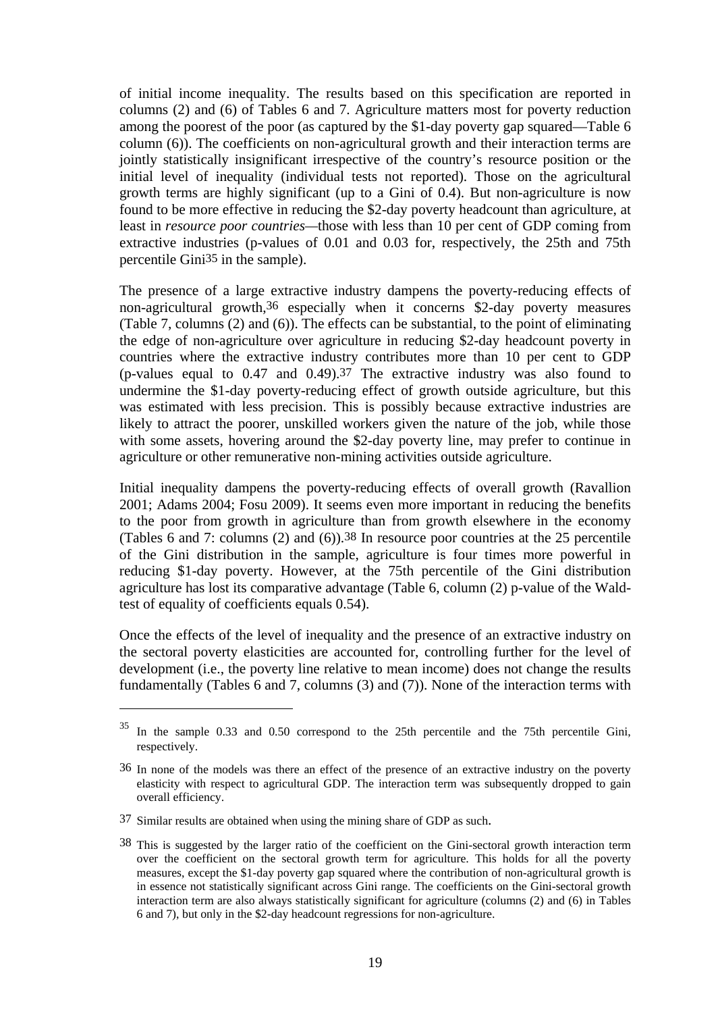of initial income inequality. The results based on this specification are reported in columns (2) and (6) of Tables 6 and 7. Agriculture matters most for poverty reduction among the poorest of the poor (as captured by the \$1-day poverty gap squared—Table 6 column (6)). The coefficients on non-agricultural growth and their interaction terms are jointly statistically insignificant irrespective of the country's resource position or the initial level of inequality (individual tests not reported). Those on the agricultural growth terms are highly significant (up to a Gini of 0.4). But non-agriculture is now found to be more effective in reducing the \$2-day poverty headcount than agriculture, at least in *resource poor countries—*those with less than 10 per cent of GDP coming from extractive industries (p-values of 0.01 and 0.03 for, respectively, the 25th and 75th percentile Gini35 in the sample).

The presence of a large extractive industry dampens the poverty-reducing effects of non-agricultural growth,36 especially when it concerns \$2-day poverty measures (Table 7, columns (2) and (6)). The effects can be substantial, to the point of eliminating the edge of non-agriculture over agriculture in reducing \$2-day headcount poverty in countries where the extractive industry contributes more than 10 per cent to GDP (p-values equal to 0.47 and 0.49).37 The extractive industry was also found to undermine the \$1-day poverty-reducing effect of growth outside agriculture, but this was estimated with less precision. This is possibly because extractive industries are likely to attract the poorer, unskilled workers given the nature of the job, while those with some assets, hovering around the \$2-day poverty line, may prefer to continue in agriculture or other remunerative non-mining activities outside agriculture.

Initial inequality dampens the poverty-reducing effects of overall growth (Ravallion 2001; Adams 2004; Fosu 2009). It seems even more important in reducing the benefits to the poor from growth in agriculture than from growth elsewhere in the economy (Tables 6 and 7: columns (2) and (6)).38 In resource poor countries at the 25 percentile of the Gini distribution in the sample, agriculture is four times more powerful in reducing \$1-day poverty. However, at the 75th percentile of the Gini distribution agriculture has lost its comparative advantage (Table 6, column (2) p-value of the Waldtest of equality of coefficients equals 0.54).

Once the effects of the level of inequality and the presence of an extractive industry on the sectoral poverty elasticities are accounted for, controlling further for the level of development (i.e., the poverty line relative to mean income) does not change the results fundamentally (Tables 6 and 7, columns (3) and (7)). None of the interaction terms with

<sup>&</sup>lt;sup>35</sup> In the sample 0.33 and 0.50 correspond to the 25th percentile and the 75th percentile Gini, respectively.

<sup>36</sup> In none of the models was there an effect of the presence of an extractive industry on the poverty elasticity with respect to agricultural GDP. The interaction term was subsequently dropped to gain overall efficiency.

<sup>37</sup> Similar results are obtained when using the mining share of GDP as such.

<sup>38</sup> This is suggested by the larger ratio of the coefficient on the Gini-sectoral growth interaction term over the coefficient on the sectoral growth term for agriculture. This holds for all the poverty measures, except the \$1-day poverty gap squared where the contribution of non-agricultural growth is in essence not statistically significant across Gini range. The coefficients on the Gini-sectoral growth interaction term are also always statistically significant for agriculture (columns (2) and (6) in Tables 6 and 7), but only in the \$2-day headcount regressions for non-agriculture.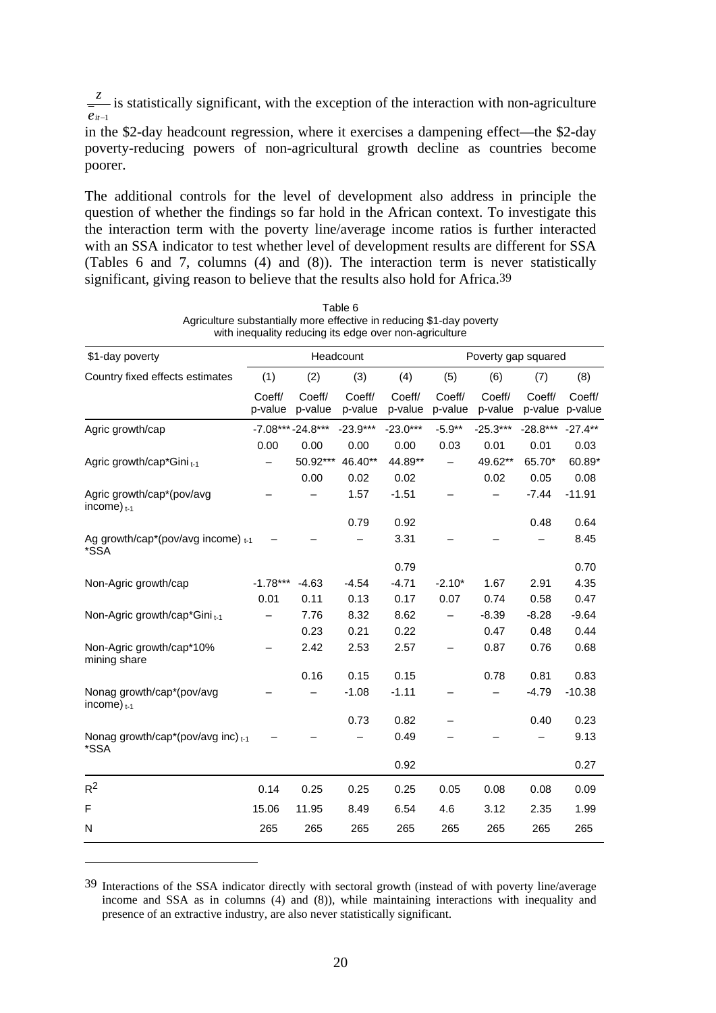*eit*<sup>−</sup><sup>1</sup>  $\frac{z}{z}$  is statistically significant, with the exception of the interaction with non-agriculture

in the \$2-day headcount regression, where it exercises a dampening effect—the \$2-day poverty-reducing powers of non-agricultural growth decline as countries become poorer.

The additional controls for the level of development also address in principle the question of whether the findings so far hold in the African context. To investigate this the interaction term with the poverty line/average income ratios is further interacted with an SSA indicator to test whether level of development results are different for SSA (Tables 6 and 7, columns (4) and (8)). The interaction term is never statistically significant, giving reason to believe that the results also hold for Africa.39

| \$1-day poverty                                  |                   |                    | Headcount         |                   |                   | Poverty gap squared |                   |                   |
|--------------------------------------------------|-------------------|--------------------|-------------------|-------------------|-------------------|---------------------|-------------------|-------------------|
| Country fixed effects estimates                  | (1)               | (2)                | (3)               | (4)               | (5)               | (6)                 | (7)               | (8)               |
|                                                  | Coeff/<br>p-value | Coeff/<br>p-value  | Coeff/<br>p-value | Coeff/<br>p-value | Coeff/<br>p-value | Coeff/<br>p-value   | Coeff/<br>p-value | Coeff/<br>p-value |
| Agric growth/cap                                 |                   | $-7.08***-24.8***$ | $-23.9***$        | $-23.0***$        | $-5.9**$          | $-25.3***$          | $-28.8***$        | $-27.4**$         |
|                                                  | 0.00              | 0.00               | 0.00              | 0.00              | 0.03              | 0.01                | 0.01              | 0.03              |
| Agric growth/cap*Gini <sub>t-1</sub>             |                   | 50.92***           | 46.40**           | 44.89**           |                   | 49.62**             | 65.70*            | 60.89*            |
|                                                  |                   | 0.00               | 0.02              | 0.02              |                   | 0.02                | 0.05              | 0.08              |
| Agric growth/cap*(pov/avg<br>income) $_{t-1}$    |                   |                    | 1.57              | $-1.51$           |                   |                     | $-7.44$           | $-11.91$          |
|                                                  |                   |                    | 0.79              | 0.92              |                   |                     | 0.48              | 0.64              |
| Ag growth/cap*(pov/avg income) $t_{-1}$<br>*SSA  |                   |                    |                   | 3.31              |                   |                     |                   | 8.45              |
|                                                  |                   |                    |                   | 0.79              |                   |                     |                   | 0.70              |
| Non-Agric growth/cap                             | $-1.78***$        | $-4.63$            | $-4.54$           | $-4.71$           | $-2.10*$          | 1.67                | 2.91              | 4.35              |
|                                                  | 0.01              | 0.11               | 0.13              | 0.17              | 0.07              | 0.74                | 0.58              | 0.47              |
| Non-Agric growth/cap*Gini <sub>t-1</sub>         |                   | 7.76               | 8.32              | 8.62              |                   | $-8.39$             | $-8.28$           | $-9.64$           |
|                                                  |                   | 0.23               | 0.21              | 0.22              |                   | 0.47                | 0.48              | 0.44              |
| Non-Agric growth/cap*10%<br>mining share         |                   | 2.42               | 2.53              | 2.57              |                   | 0.87                | 0.76              | 0.68              |
|                                                  |                   | 0.16               | 0.15              | 0.15              |                   | 0.78                | 0.81              | 0.83              |
| Nonag growth/cap*(pov/avg<br>income) $_{t-1}$    |                   |                    | $-1.08$           | $-1.11$           |                   |                     | $-4.79$           | $-10.38$          |
|                                                  |                   |                    | 0.73              | 0.82              |                   |                     | 0.40              | 0.23              |
| Nonag growth/cap*(pov/avg inc) $t_{t-1}$<br>*SSA |                   |                    |                   | 0.49              |                   |                     |                   | 9.13              |
|                                                  |                   |                    |                   | 0.92              |                   |                     |                   | 0.27              |
| $R^2$                                            | 0.14              | 0.25               | 0.25              | 0.25              | 0.05              | 0.08                | 0.08              | 0.09              |
| F                                                | 15.06             | 11.95              | 8.49              | 6.54              | 4.6               | 3.12                | 2.35              | 1.99              |
| N                                                | 265               | 265                | 265               | 265               | 265               | 265                 | 265               | 265               |

Table 6 Agriculture substantially more effective in reducing \$1-day poverty with inequality reducing its edge over non-agriculture

<sup>39</sup> Interactions of the SSA indicator directly with sectoral growth (instead of with poverty line/average income and SSA as in columns (4) and (8)), while maintaining interactions with inequality and presence of an extractive industry, are also never statistically significant.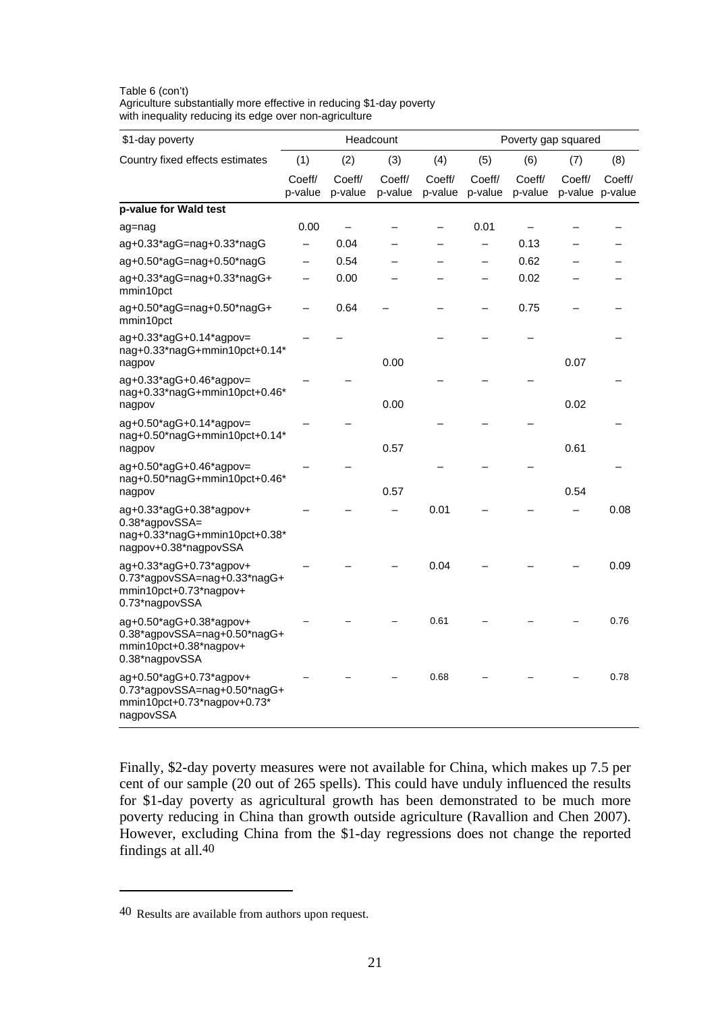| \$1-day poverty                                                                                     |                          |                   | Headcount         |                   |                   | Poverty gap squared |                   |                   |
|-----------------------------------------------------------------------------------------------------|--------------------------|-------------------|-------------------|-------------------|-------------------|---------------------|-------------------|-------------------|
| Country fixed effects estimates                                                                     | (1)                      | (2)               | (3)               | (4)               | (5)               | (6)                 | (7)               | (8)               |
|                                                                                                     | Coeff/<br>p-value        | Coeff/<br>p-value | Coeff/<br>p-value | Coeff/<br>p-value | Coeff/<br>p-value | Coeff/<br>p-value   | Coeff/<br>p-value | Coeff/<br>p-value |
| p-value for Wald test                                                                               |                          |                   |                   |                   |                   |                     |                   |                   |
| ag=nag                                                                                              | 0.00                     | $\qquad \qquad -$ |                   |                   | 0.01              |                     |                   |                   |
| ag+0.33*agG=nag+0.33*nagG                                                                           | $\overline{\phantom{0}}$ | 0.04              |                   |                   |                   | 0.13                |                   |                   |
| ag+0.50*agG=nag+0.50*nagG                                                                           |                          | 0.54              |                   |                   |                   | 0.62                |                   |                   |
| ag+0.33*agG=nag+0.33*nagG+<br>mmin10pct                                                             |                          | 0.00              |                   |                   |                   | 0.02                |                   |                   |
| ag+0.50*agG=nag+0.50*nagG+<br>mmin10pct                                                             |                          | 0.64              |                   |                   |                   | 0.75                |                   |                   |
| ag+0.33*agG+0.14*agpov=<br>nag+0.33*nagG+mmin10pct+0.14*                                            |                          |                   | 0.00              |                   |                   |                     | 0.07              |                   |
| nagpov<br>$ag+0.33*agG+0.46*agpov=$                                                                 |                          |                   |                   |                   |                   |                     |                   |                   |
| nag+0.33*nagG+mmin10pct+0.46*<br>nagpov                                                             |                          |                   | 0.00              |                   |                   |                     | 0.02              |                   |
| $ag+0.50*agG+0.14*agpov=$<br>nag+0.50*nagG+mmin10pct+0.14*                                          |                          |                   |                   |                   |                   |                     |                   |                   |
| nagpov                                                                                              |                          |                   | 0.57              |                   |                   |                     | 0.61              |                   |
| $aq+0.50^*$ agG+0.46 $^*$ agpov=<br>nag+0.50*nagG+mmin10pct+0.46*<br>nagpov                         |                          |                   | 0.57              |                   |                   |                     | 0.54              |                   |
| ag+0.33*agG+0.38*agpov+                                                                             |                          |                   |                   | 0.01              |                   |                     |                   | 0.08              |
| 0.38*agpovSSA=<br>nag+0.33*nagG+mmin10pct+0.38*<br>nagpov+0.38*nagpovSSA                            |                          |                   |                   |                   |                   |                     |                   |                   |
| ag+0.33*agG+0.73*agpov+<br>0.73*agpovSSA=nag+0.33*nagG+<br>mmin10pct+0.73*nagpov+<br>0.73*nagpovSSA |                          |                   |                   | 0.04              |                   |                     |                   | 0.09              |
| ag+0.50*agG+0.38*agpov+<br>0.38*agpovSSA=nag+0.50*nagG+<br>mmin10pct+0.38*nagpov+<br>0.38*nagpovSSA |                          |                   |                   | 0.61              |                   |                     |                   | 0.76              |
| ag+0.50*agG+0.73*agpov+<br>0.73*agpovSSA=nag+0.50*nagG+<br>mmin10pct+0.73*nagpov+0.73*<br>nagpovSSA |                          |                   |                   | 0.68              |                   |                     |                   | 0.78              |

Table 6 (con't) Agriculture substantially more effective in reducing \$1-day poverty with inequality reducing its edge over non-agriculture

Finally, \$2-day poverty measures were not available for China, which makes up 7.5 per cent of our sample (20 out of 265 spells). This could have unduly influenced the results for \$1-day poverty as agricultural growth has been demonstrated to be much more poverty reducing in China than growth outside agriculture (Ravallion and Chen 2007). However, excluding China from the \$1-day regressions does not change the reported findings at all.40

<sup>40</sup> Results are available from authors upon request.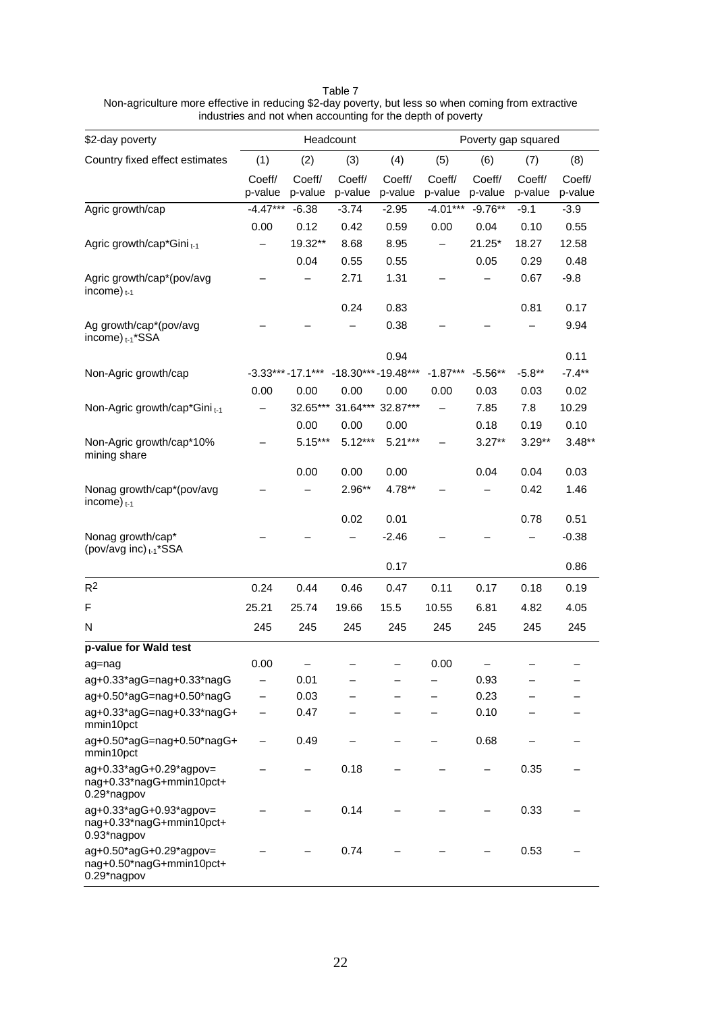Table 7

Non-agriculture more effective in reducing \$2-day poverty, but less so when coming from extractive industries and not when accounting for the depth of poverty

| \$2-day poverty                                                      |                   | Headcount          |                    |                   |                   |                   | Poverty gap squared |                   |
|----------------------------------------------------------------------|-------------------|--------------------|--------------------|-------------------|-------------------|-------------------|---------------------|-------------------|
| Country fixed effect estimates                                       | (1)               | (2)                | (3)                | (4)               | (5)               | (6)               | (7)                 | (8)               |
|                                                                      | Coeff/<br>p-value | Coeff/<br>p-value  | Coeff/<br>p-value  | Coeff/<br>p-value | Coeff/<br>p-value | Coeff/<br>p-value | Coeff/<br>p-value   | Coeff/<br>p-value |
| Agric growth/cap                                                     | $-4.47***$        | $-6.38$            | $-3.74$            | $-2.95$           | $-4.01***$        | $-9.76**$         | $-9.1$              | $-3.9$            |
|                                                                      | 0.00              | 0.12               | 0.42               | 0.59              | 0.00              | 0.04              | 0.10                | 0.55              |
| Agric growth/cap*Gini <sub>t-1</sub>                                 |                   | 19.32**            | 8.68               | 8.95              |                   | 21.25*            | 18.27               | 12.58             |
|                                                                      |                   | 0.04               | 0.55               | 0.55              |                   | 0.05              | 0.29                | 0.48              |
| Agric growth/cap*(pov/avg<br>income) $_{t-1}$                        |                   |                    | 2.71               | 1.31              |                   |                   | 0.67                | $-9.8$            |
|                                                                      |                   |                    | 0.24               | 0.83              |                   |                   | 0.81                | 0.17              |
| Ag growth/cap*(pov/avg<br>income) <sub>t-1</sub> *SSA                |                   |                    |                    | 0.38              |                   |                   |                     | 9.94              |
|                                                                      |                   |                    |                    | 0.94              |                   |                   |                     | 0.11              |
| Non-Agric growth/cap                                                 |                   | $-3.33***-17.1***$ | -18.30***-19.48*** |                   | $-1.87***$        | $-5.56**$         | $-5.8**$            | $-7.4***$         |
|                                                                      | 0.00              | 0.00               | 0.00               | 0.00              | 0.00              | 0.03              | 0.03                | 0.02              |
| Non-Agric growth/cap*Gini <sub>t-1</sub>                             |                   | 32.65***           | 31.64***           | 32.87***          |                   | 7.85              | 7.8                 | 10.29             |
|                                                                      |                   | 0.00               | 0.00               | 0.00              |                   | 0.18              | 0.19                | 0.10              |
| Non-Agric growth/cap*10%<br>mining share                             |                   | $5.15***$          | $5.12***$          | $5.21***$         |                   | $3.27**$          | $3.29**$            | $3.48**$          |
|                                                                      |                   | 0.00               | 0.00               | 0.00              |                   | 0.04              | 0.04                | 0.03              |
| Nonag growth/cap*(pov/avg<br>income) $_{t-1}$                        |                   |                    | 2.96**             | 4.78**            |                   |                   | 0.42                | 1.46              |
|                                                                      |                   |                    | 0.02               | 0.01              |                   |                   | 0.78                | 0.51              |
| Nonag growth/cap*<br>(pov/avg inc) t-1*SSA                           |                   |                    |                    | $-2.46$           |                   |                   |                     | $-0.38$           |
|                                                                      |                   |                    |                    | 0.17              |                   |                   |                     | 0.86              |
| R <sup>2</sup>                                                       | 0.24              | 0.44               | 0.46               | 0.47              | 0.11              | 0.17              | 0.18                | 0.19              |
| F                                                                    | 25.21             | 25.74              | 19.66              | 15.5              | 10.55             | 6.81              | 4.82                | 4.05              |
| N                                                                    | 245               | 245                | 245                | 245               | 245               | 245               | 245                 | 245               |
| p-value for Wald test                                                |                   |                    |                    |                   |                   |                   |                     |                   |
| ag=nag                                                               | 0.00              |                    |                    |                   | 0.00              |                   |                     |                   |
| ag+0.33*agG=nag+0.33*nagG                                            | —                 | 0.01               |                    |                   |                   | 0.93              |                     |                   |
| ag+0.50*agG=nag+0.50*nagG                                            |                   | 0.03               |                    |                   |                   | 0.23              |                     |                   |
| ag+0.33*agG=nag+0.33*nagG+<br>mmin10pct                              |                   | 0.47               |                    |                   |                   | 0.10              |                     |                   |
| ag+0.50*agG=nag+0.50*nagG+<br>mmin10pct                              |                   | 0.49               |                    |                   |                   | 0.68              |                     |                   |
| ag+0.33*agG+0.29*agpov=<br>nag+0.33*nagG+mmin10pct+<br>0.29*nagpov   |                   |                    | 0.18               |                   |                   |                   | 0.35                |                   |
| ag+0.33*agG+0.93*agpov=<br>nag+0.33*nagG+mmin10pct+<br>0.93*nagpov   |                   |                    | 0.14               |                   |                   |                   | 0.33                |                   |
| $aq+0.50*agG+0.29*agpov=$<br>nag+0.50*nagG+mmin10pct+<br>0.29*nagpov |                   |                    | 0.74               |                   |                   |                   | 0.53                |                   |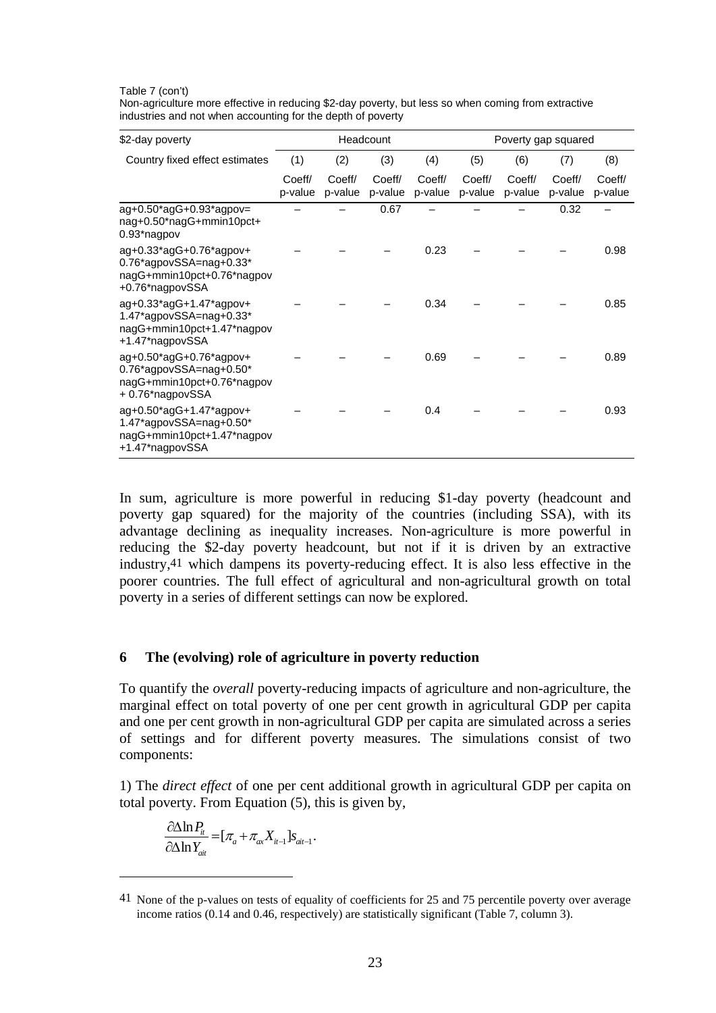Table 7 (con't)

| Non-agriculture more effective in reducing \$2-day poverty, but less so when coming from extractive |
|-----------------------------------------------------------------------------------------------------|
| industries and not when accounting for the depth of poverty                                         |

| \$2-day poverty                                                                                           |                   |                   | Headcount         |                   |                   | Poverty gap squared |                   |                   |
|-----------------------------------------------------------------------------------------------------------|-------------------|-------------------|-------------------|-------------------|-------------------|---------------------|-------------------|-------------------|
| Country fixed effect estimates                                                                            | (1)               | (2)               | (3)               | (4)               | (5)               | (6)                 | (7)               | (8)               |
|                                                                                                           | Coeff/<br>p-value | Coeff/<br>p-value | Coeff/<br>p-value | Coeff/<br>p-value | Coeff/<br>p-value | Coeff/<br>p-value   | Coeff/<br>p-value | Coeff/<br>p-value |
| $aq+0.50*agG+0.93*agpov=$<br>nag+0.50*nagG+mmin10pct+<br>0.93*nagpov                                      |                   |                   | 0.67              |                   |                   |                     | 0.32              |                   |
| ag+0.33*agG+0.76*agpov+<br>0.76*agpovSSA=nag+0.33*<br>nagG+mmin10pct+0.76*nagpov<br>+0.76*nagpovSSA       |                   |                   |                   | 0.23              |                   |                     |                   | 0.98              |
| ag+0.33*agG+1.47*agpov+<br>$1.47*$ agpovSSA=nag+0.33*<br>nagG+mmin10pct+1.47*nagpov<br>+1.47*nagpovSSA    |                   |                   |                   | 0.34              |                   |                     |                   | 0.85              |
| ag+0.50*agG+0.76*agpov+<br>$0.76*$ agpovSSA=nag+ $0.50*$<br>nagG+mmin10pct+0.76*nagpov<br>+0.76*nagpovSSA |                   |                   |                   | 0.69              |                   |                     |                   | 0.89              |
| ag+0.50*agG+1.47*agpov+<br>$1.47*$ agpovSSA=nag+0.50*<br>nagG+mmin10pct+1.47*nagpov<br>+1.47*nagpovSSA    |                   |                   |                   | 0.4               |                   |                     |                   | 0.93              |

In sum, agriculture is more powerful in reducing \$1-day poverty (headcount and poverty gap squared) for the majority of the countries (including SSA), with its advantage declining as inequality increases. Non-agriculture is more powerful in reducing the \$2-day poverty headcount, but not if it is driven by an extractive industry,41 which dampens its poverty-reducing effect. It is also less effective in the poorer countries. The full effect of agricultural and non-agricultural growth on total poverty in a series of different settings can now be explored.

#### **6 The (evolving) role of agriculture in poverty reduction**

To quantify the *overall* poverty-reducing impacts of agriculture and non-agriculture, the marginal effect on total poverty of one per cent growth in agricultural GDP per capita and one per cent growth in non-agricultural GDP per capita are simulated across a series of settings and for different poverty measures. The simulations consist of two components:

1) The *direct effect* of one per cent additional growth in agricultural GDP per capita on total poverty. From Equation (5), this is given by,

$$
\frac{\partial \Delta \ln P_{it}}{\partial \Delta \ln Y_{ait}} = [\pi_a + \pi_{ax} X_{it-1}] s_{ait-1}.
$$

<u>.</u>

<sup>41</sup> None of the p-values on tests of equality of coefficients for 25 and 75 percentile poverty over average income ratios (0.14 and 0.46, respectively) are statistically significant (Table 7, column 3).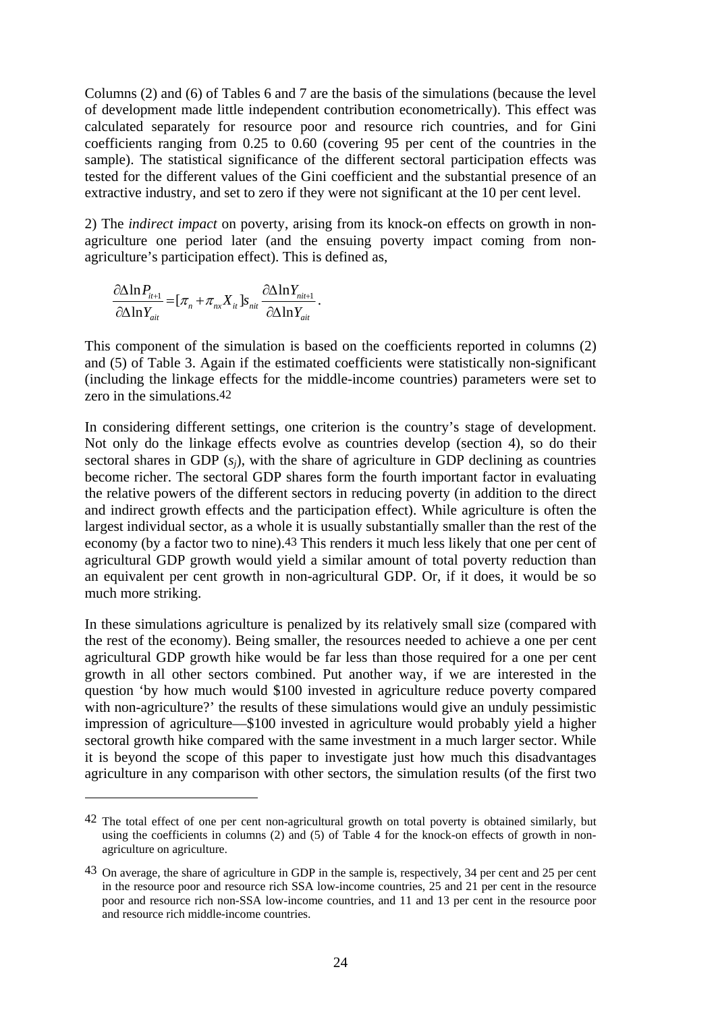Columns (2) and (6) of Tables 6 and 7 are the basis of the simulations (because the level of development made little independent contribution econometrically). This effect was calculated separately for resource poor and resource rich countries, and for Gini coefficients ranging from 0.25 to 0.60 (covering 95 per cent of the countries in the sample). The statistical significance of the different sectoral participation effects was tested for the different values of the Gini coefficient and the substantial presence of an extractive industry, and set to zero if they were not significant at the 10 per cent level.

2) The *indirect impact* on poverty, arising from its knock-on effects on growth in nonagriculture one period later (and the ensuing poverty impact coming from nonagriculture's participation effect). This is defined as,

$$
\frac{\partial \Delta \ln P_{it+1}}{\partial \Delta \ln Y_{ait}} = [\pi_n + \pi_{nx} X_{it}] s_{nit} \frac{\partial \Delta \ln Y_{nit+1}}{\partial \Delta \ln Y_{ait}}.
$$

 $\overline{a}$ 

This component of the simulation is based on the coefficients reported in columns (2) and (5) of Table 3. Again if the estimated coefficients were statistically non-significant (including the linkage effects for the middle-income countries) parameters were set to zero in the simulations 42

In considering different settings, one criterion is the country's stage of development. Not only do the linkage effects evolve as countries develop (section 4), so do their sectoral shares in GDP (*sj*), with the share of agriculture in GDP declining as countries become richer. The sectoral GDP shares form the fourth important factor in evaluating the relative powers of the different sectors in reducing poverty (in addition to the direct and indirect growth effects and the participation effect). While agriculture is often the largest individual sector, as a whole it is usually substantially smaller than the rest of the economy (by a factor two to nine).43 This renders it much less likely that one per cent of agricultural GDP growth would yield a similar amount of total poverty reduction than an equivalent per cent growth in non-agricultural GDP. Or, if it does, it would be so much more striking.

In these simulations agriculture is penalized by its relatively small size (compared with the rest of the economy). Being smaller, the resources needed to achieve a one per cent agricultural GDP growth hike would be far less than those required for a one per cent growth in all other sectors combined. Put another way, if we are interested in the question 'by how much would \$100 invested in agriculture reduce poverty compared with non-agriculture?' the results of these simulations would give an unduly pessimistic impression of agriculture—\$100 invested in agriculture would probably yield a higher sectoral growth hike compared with the same investment in a much larger sector. While it is beyond the scope of this paper to investigate just how much this disadvantages agriculture in any comparison with other sectors, the simulation results (of the first two

<sup>42</sup> The total effect of one per cent non-agricultural growth on total poverty is obtained similarly, but using the coefficients in columns (2) and (5) of Table 4 for the knock-on effects of growth in nonagriculture on agriculture.

<sup>43</sup> On average, the share of agriculture in GDP in the sample is, respectively, 34 per cent and 25 per cent in the resource poor and resource rich SSA low-income countries, 25 and 21 per cent in the resource poor and resource rich non-SSA low-income countries, and 11 and 13 per cent in the resource poor and resource rich middle-income countries.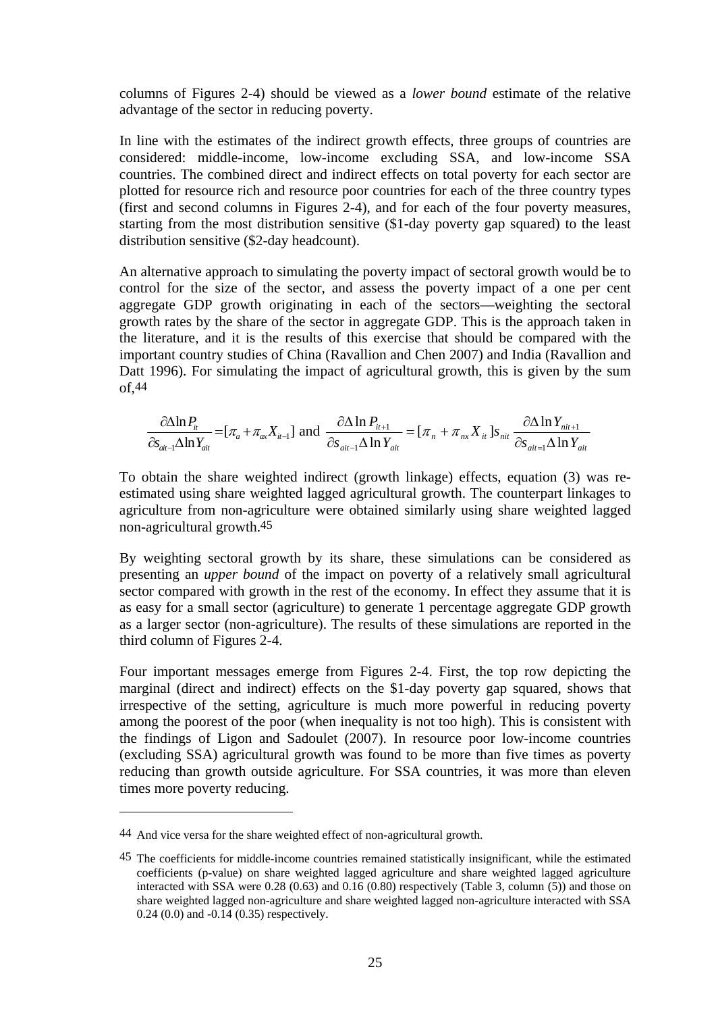columns of Figures 2-4) should be viewed as a *lower bound* estimate of the relative advantage of the sector in reducing poverty.

In line with the estimates of the indirect growth effects, three groups of countries are considered: middle-income, low-income excluding SSA, and low-income SSA countries. The combined direct and indirect effects on total poverty for each sector are plotted for resource rich and resource poor countries for each of the three country types (first and second columns in Figures 2-4), and for each of the four poverty measures, starting from the most distribution sensitive (\$1-day poverty gap squared) to the least distribution sensitive (\$2-day headcount).

An alternative approach to simulating the poverty impact of sectoral growth would be to control for the size of the sector, and assess the poverty impact of a one per cent aggregate GDP growth originating in each of the sectors—weighting the sectoral growth rates by the share of the sector in aggregate GDP. This is the approach taken in the literature, and it is the results of this exercise that should be compared with the important country studies of China (Ravallion and Chen 2007) and India (Ravallion and Datt 1996). For simulating the impact of agricultural growth, this is given by the sum of,44

$$
\frac{\partial \Delta \ln P_{it}}{\partial s_{\text{air}-1} \Delta \ln Y_{\text{air}}} = [\pi_a + \pi_{ax} X_{it-1}] \text{ and } \frac{\partial \Delta \ln P_{it+1}}{\partial s_{\text{air}-1} \Delta \ln Y_{\text{air}}} = [\pi_n + \pi_{nx} X_{it}] s_{\text{nit}} \frac{\partial \Delta \ln Y_{\text{nit}+1}}{\partial s_{\text{air}-1} \Delta \ln Y_{\text{air}}}
$$

To obtain the share weighted indirect (growth linkage) effects, equation (3) was reestimated using share weighted lagged agricultural growth. The counterpart linkages to agriculture from non-agriculture were obtained similarly using share weighted lagged non-agricultural growth.45

By weighting sectoral growth by its share, these simulations can be considered as presenting an *upper bound* of the impact on poverty of a relatively small agricultural sector compared with growth in the rest of the economy. In effect they assume that it is as easy for a small sector (agriculture) to generate 1 percentage aggregate GDP growth as a larger sector (non-agriculture). The results of these simulations are reported in the third column of Figures 2-4.

Four important messages emerge from Figures 2-4. First, the top row depicting the marginal (direct and indirect) effects on the \$1-day poverty gap squared, shows that irrespective of the setting, agriculture is much more powerful in reducing poverty among the poorest of the poor (when inequality is not too high). This is consistent with the findings of Ligon and Sadoulet (2007). In resource poor low-income countries (excluding SSA) agricultural growth was found to be more than five times as poverty reducing than growth outside agriculture. For SSA countries, it was more than eleven times more poverty reducing.

<sup>44</sup> And vice versa for the share weighted effect of non-agricultural growth.

<sup>45</sup> The coefficients for middle-income countries remained statistically insignificant, while the estimated coefficients (p-value) on share weighted lagged agriculture and share weighted lagged agriculture interacted with SSA were 0.28 (0.63) and 0.16 (0.80) respectively (Table 3, column (5)) and those on share weighted lagged non-agriculture and share weighted lagged non-agriculture interacted with SSA 0.24 (0.0) and -0.14 (0.35) respectively.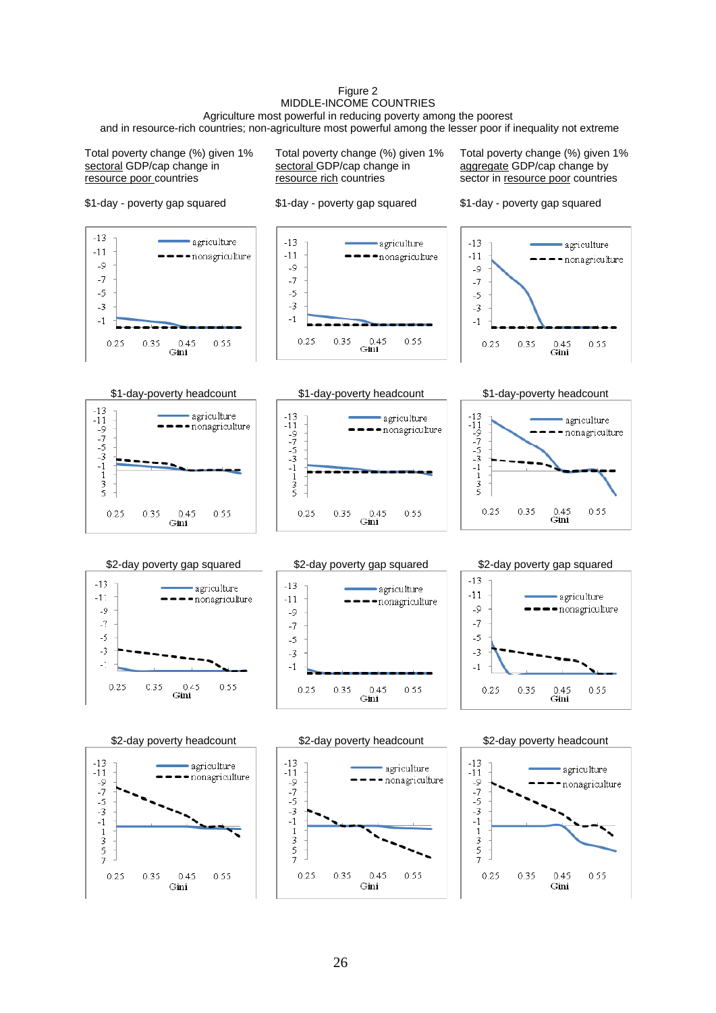#### Figure 2 MIDDLE-INCOME COUNTRIES Agriculture most powerful in reducing poverty among the poorest

and in resource-rich countries; non-agriculture most powerful among the lesser poor if inequality not extreme

Total poverty change (%) given 1% sectoral GDP/cap change in resource poor countries

\$1-day - poverty gap squared

Total poverty change (%) given 1% sectoral GDP/cap change in resource rich countries

\$1-day - poverty gap squared

Total poverty change (%) given 1% aggregate GDP/cap change by sector in resource poor countries







 $-7$ 

 $-5$ 

 $-3$ 

 $-1$ 

 $0.25$ 









0.35

 $\frac{0.45}{\text{Gini}}$ 

0.55



## \$2-day poverty gap squared  $\frac{2-1}{2}$  \$2-day poverty gap squared  $\frac{2}{2}$ -day poverty gap squared





agriculture

0.55









0.35

 $0.45$ 

Gini

 $-13$ 

 $-11$ 

 $-9$ <br> $-7$ <br> $-5$ <br> $-3$ 

 $-1$ 

 $\frac{1}{3}$ 

 $\frac{5}{7}$ 

 $0.25$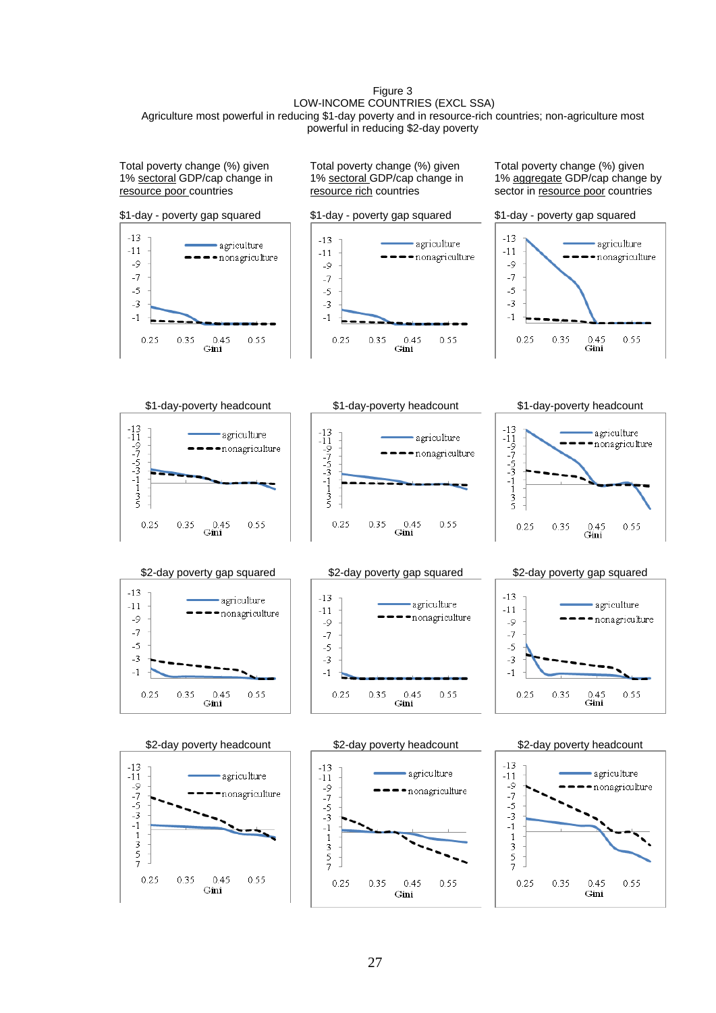#### Figure 3 LOW-INCOME COUNTRIES (EXCL SSA) Agriculture most powerful in reducing \$1-day poverty and in resource-rich countries; non-agriculture most powerful in reducing \$2-day poverty

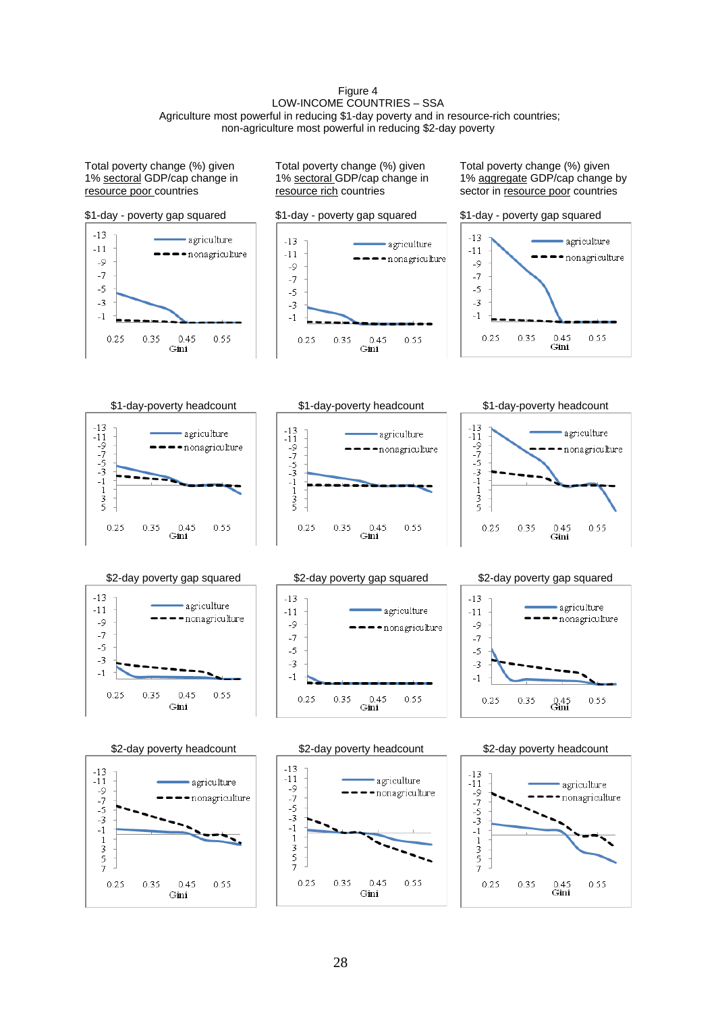#### Figure 4 LOW-INCOME COUNTRIES - SSA Agriculture most powerful in reducing \$1-day poverty and in resource-rich countries; non-agriculture most powerful in reducing \$2-day poverty

Total poverty change (%) given 1% sectoral GDP/cap change in resource poor countries

Total poverty change (%) given 1% sectoral GDP/cap change in resource rich countries

Total poverty change (%) given 1% aggregate GDP/cap change by sector in **resource** poor countries

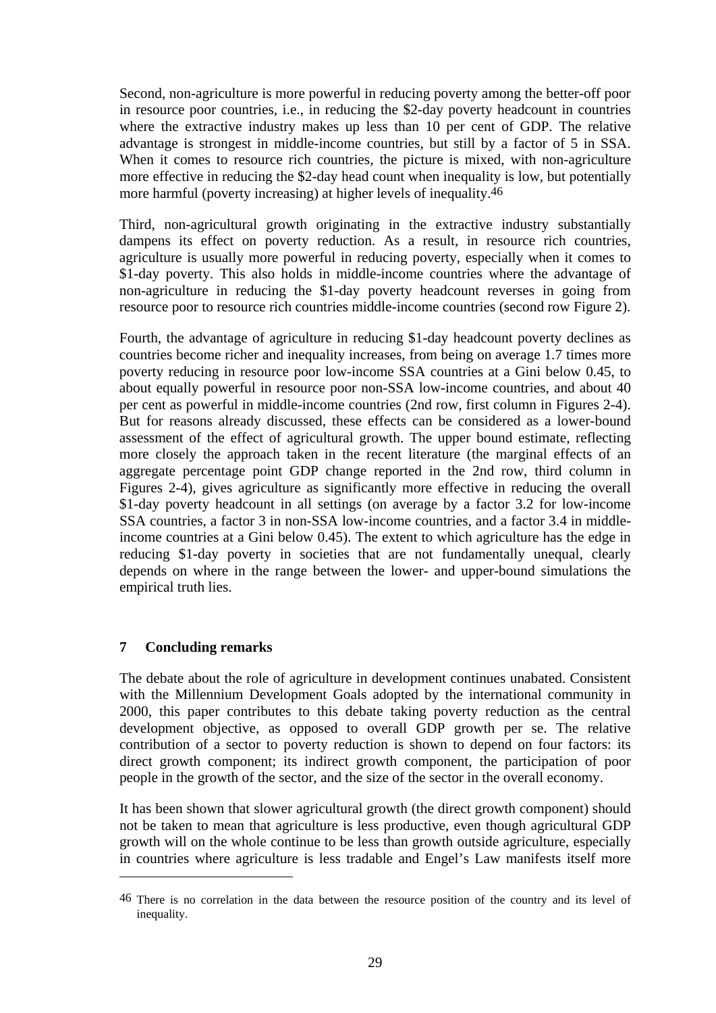Second, non-agriculture is more powerful in reducing poverty among the better-off poor in resource poor countries, i.e., in reducing the \$2-day poverty headcount in countries where the extractive industry makes up less than 10 per cent of GDP. The relative advantage is strongest in middle-income countries, but still by a factor of 5 in SSA. When it comes to resource rich countries, the picture is mixed, with non-agriculture more effective in reducing the \$2-day head count when inequality is low, but potentially more harmful (poverty increasing) at higher levels of inequality.46

Third, non-agricultural growth originating in the extractive industry substantially dampens its effect on poverty reduction. As a result, in resource rich countries, agriculture is usually more powerful in reducing poverty, especially when it comes to \$1-day poverty. This also holds in middle-income countries where the advantage of non-agriculture in reducing the \$1-day poverty headcount reverses in going from resource poor to resource rich countries middle-income countries (second row Figure 2).

Fourth, the advantage of agriculture in reducing \$1-day headcount poverty declines as countries become richer and inequality increases, from being on average 1.7 times more poverty reducing in resource poor low-income SSA countries at a Gini below 0.45, to about equally powerful in resource poor non-SSA low-income countries, and about 40 per cent as powerful in middle-income countries (2nd row, first column in Figures 2-4). But for reasons already discussed, these effects can be considered as a lower-bound assessment of the effect of agricultural growth. The upper bound estimate, reflecting more closely the approach taken in the recent literature (the marginal effects of an aggregate percentage point GDP change reported in the 2nd row, third column in Figures 2-4), gives agriculture as significantly more effective in reducing the overall \$1-day poverty headcount in all settings (on average by a factor 3.2 for low-income SSA countries, a factor 3 in non-SSA low-income countries, and a factor 3.4 in middleincome countries at a Gini below 0.45). The extent to which agriculture has the edge in reducing \$1-day poverty in societies that are not fundamentally unequal, clearly depends on where in the range between the lower- and upper-bound simulations the empirical truth lies.

## **7 Concluding remarks**

1

The debate about the role of agriculture in development continues unabated. Consistent with the Millennium Development Goals adopted by the international community in 2000, this paper contributes to this debate taking poverty reduction as the central development objective, as opposed to overall GDP growth per se. The relative contribution of a sector to poverty reduction is shown to depend on four factors: its direct growth component; its indirect growth component, the participation of poor people in the growth of the sector, and the size of the sector in the overall economy.

It has been shown that slower agricultural growth (the direct growth component) should not be taken to mean that agriculture is less productive, even though agricultural GDP growth will on the whole continue to be less than growth outside agriculture, especially in countries where agriculture is less tradable and Engel's Law manifests itself more

<sup>46</sup> There is no correlation in the data between the resource position of the country and its level of inequality.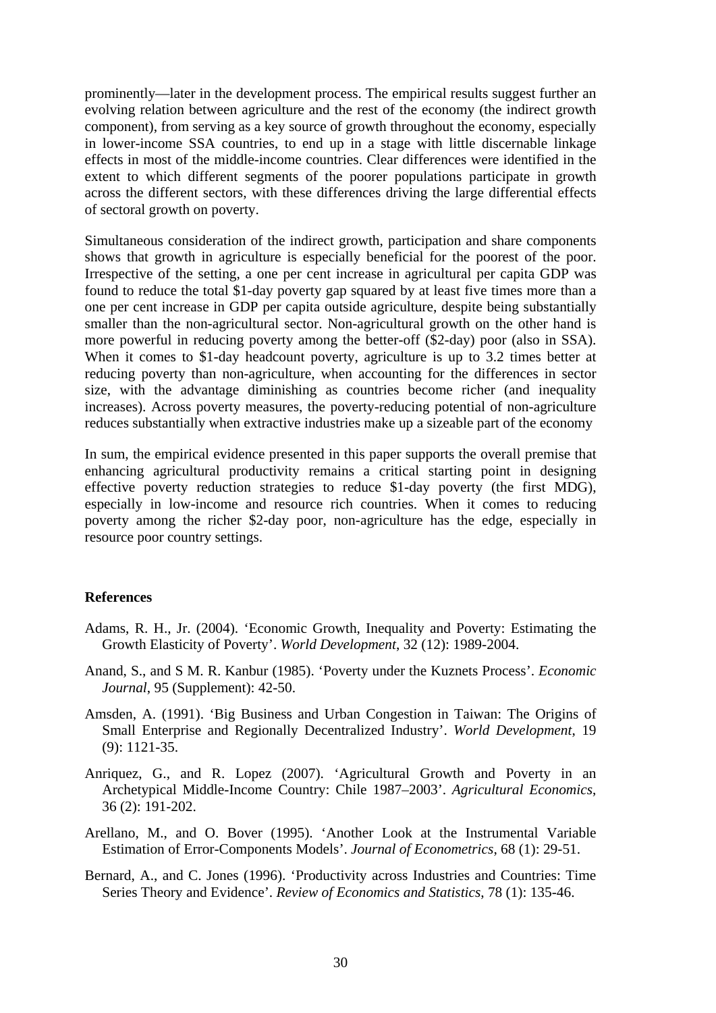prominently—later in the development process. The empirical results suggest further an evolving relation between agriculture and the rest of the economy (the indirect growth component), from serving as a key source of growth throughout the economy, especially in lower-income SSA countries, to end up in a stage with little discernable linkage effects in most of the middle-income countries. Clear differences were identified in the extent to which different segments of the poorer populations participate in growth across the different sectors, with these differences driving the large differential effects of sectoral growth on poverty.

Simultaneous consideration of the indirect growth, participation and share components shows that growth in agriculture is especially beneficial for the poorest of the poor. Irrespective of the setting, a one per cent increase in agricultural per capita GDP was found to reduce the total \$1-day poverty gap squared by at least five times more than a one per cent increase in GDP per capita outside agriculture, despite being substantially smaller than the non-agricultural sector. Non-agricultural growth on the other hand is more powerful in reducing poverty among the better-off (\$2-day) poor (also in SSA). When it comes to \$1-day headcount poverty, agriculture is up to 3.2 times better at reducing poverty than non-agriculture, when accounting for the differences in sector size, with the advantage diminishing as countries become richer (and inequality increases). Across poverty measures, the poverty-reducing potential of non-agriculture reduces substantially when extractive industries make up a sizeable part of the economy

In sum, the empirical evidence presented in this paper supports the overall premise that enhancing agricultural productivity remains a critical starting point in designing effective poverty reduction strategies to reduce \$1-day poverty (the first MDG), especially in low-income and resource rich countries. When it comes to reducing poverty among the richer \$2-day poor, non-agriculture has the edge, especially in resource poor country settings.

#### **References**

- Adams, R. H., Jr. (2004). 'Economic Growth, Inequality and Poverty: Estimating the Growth Elasticity of Poverty'. *World Development*, 32 (12): 1989-2004.
- Anand, S., and S M. R. Kanbur (1985). 'Poverty under the Kuznets Process'. *Economic Journal*, 95 (Supplement): 42-50.
- Amsden, A. (1991). 'Big Business and Urban Congestion in Taiwan: The Origins of Small Enterprise and Regionally Decentralized Industry'. *World Development*, 19 (9): 1121-35.
- Anriquez, G., and R. Lopez (2007). 'Agricultural Growth and Poverty in an Archetypical Middle-Income Country: Chile 1987–2003'. *Agricultural Economics*, 36 (2): 191-202.
- Arellano, M., and O. Bover (1995). 'Another Look at the Instrumental Variable Estimation of Error-Components Models'. *Journal of Econometrics*, 68 (1): 29-51.
- Bernard, A., and C. Jones (1996). 'Productivity across Industries and Countries: Time Series Theory and Evidence'. *Review of Economics and Statistics*, 78 (1): 135-46.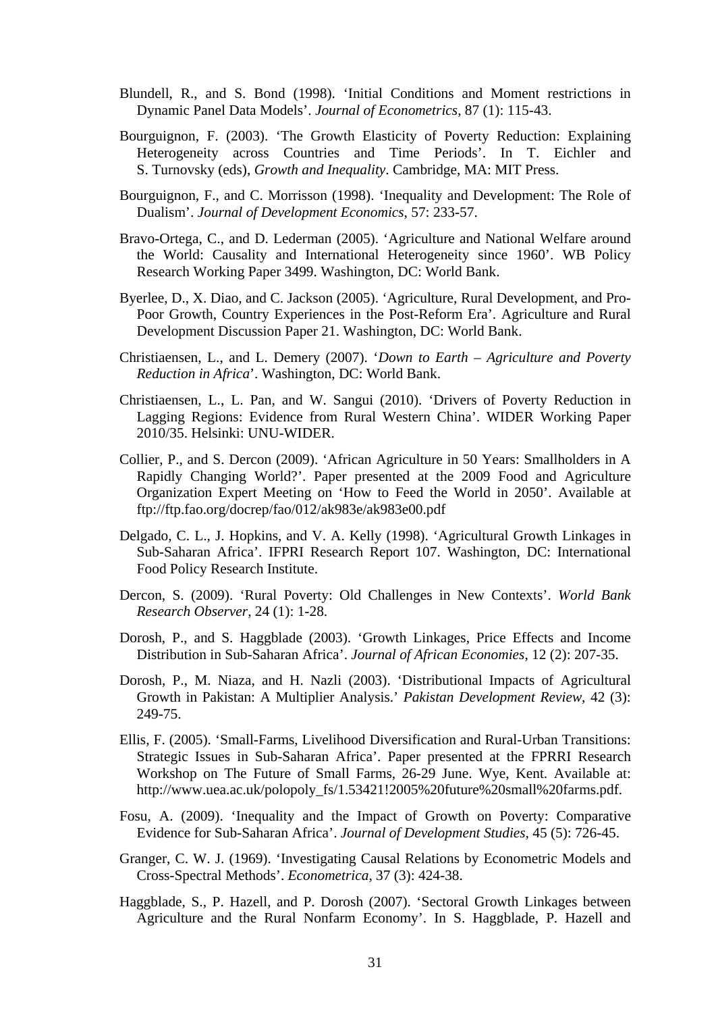- Blundell, R., and S. Bond (1998). 'Initial Conditions and Moment restrictions in Dynamic Panel Data Models'. *Journal of Econometrics*, 87 (1): 115-43.
- Bourguignon, F. (2003). 'The Growth Elasticity of Poverty Reduction: Explaining Heterogeneity across Countries and Time Periods'. In T. Eichler and S. Turnovsky (eds), *Growth and Inequality*. Cambridge, MA: MIT Press.
- Bourguignon, F., and C. Morrisson (1998). 'Inequality and Development: The Role of Dualism'. *Journal of Development Economics*, 57: 233-57.
- Bravo-Ortega, C., and D. Lederman (2005). 'Agriculture and National Welfare around the World: Causality and International Heterogeneity since 1960'. WB Policy Research Working Paper 3499. Washington, DC: World Bank.
- Byerlee, D., X. Diao, and C. Jackson (2005). 'Agriculture, Rural Development, and Pro-Poor Growth, Country Experiences in the Post-Reform Era'. Agriculture and Rural Development Discussion Paper 21. Washington, DC: World Bank.
- Christiaensen, L., and L. Demery (2007). '*Down to Earth Agriculture and Poverty Reduction in Africa*'. Washington, DC: World Bank.
- Christiaensen, L., L. Pan, and W. Sangui (2010). 'Drivers of Poverty Reduction in Lagging Regions: Evidence from Rural Western China'. WIDER Working Paper 2010/35. Helsinki: UNU-WIDER.
- Collier, P., and S. Dercon (2009). 'African Agriculture in 50 Years: Smallholders in A Rapidly Changing World?'. Paper presented at the 2009 Food and Agriculture Organization Expert Meeting on 'How to Feed the World in 2050'. Available at ftp://ftp.fao.org/docrep/fao/012/ak983e/ak983e00.pdf
- Delgado, C. L., J. Hopkins, and V. A. Kelly (1998). 'Agricultural Growth Linkages in Sub-Saharan Africa'. IFPRI Research Report 107. Washington, DC: International Food Policy Research Institute.
- Dercon, S. (2009). 'Rural Poverty: Old Challenges in New Contexts'. *World Bank Research Observer*, 24 (1): 1-28.
- Dorosh, P., and S. Haggblade (2003). 'Growth Linkages, Price Effects and Income Distribution in Sub-Saharan Africa'. *Journal of African Economies*, 12 (2): 207-35.
- Dorosh, P., M. Niaza, and H. Nazli (2003). 'Distributional Impacts of Agricultural Growth in Pakistan: A Multiplier Analysis.' *Pakistan Development Review*, 42 (3): 249-75.
- Ellis, F. (2005). 'Small-Farms, Livelihood Diversification and Rural-Urban Transitions: Strategic Issues in Sub-Saharan Africa'. Paper presented at the FPRRI Research Workshop on The Future of Small Farms, 26-29 June. Wye, Kent. Available at: http://www.uea.ac.uk/polopoly\_fs/1.53421!2005%20future%20small%20farms.pdf.
- Fosu, A. (2009). 'Inequality and the Impact of Growth on Poverty: Comparative Evidence for Sub-Saharan Africa'. *Journal of Development Studies*, 45 (5): 726-45.
- Granger, C. W. J. (1969). 'Investigating Causal Relations by Econometric Models and Cross-Spectral Methods'. *Econometrica*, 37 (3): 424-38.
- Haggblade, S., P. Hazell, and P. Dorosh (2007). 'Sectoral Growth Linkages between Agriculture and the Rural Nonfarm Economy'. In S. Haggblade, P. Hazell and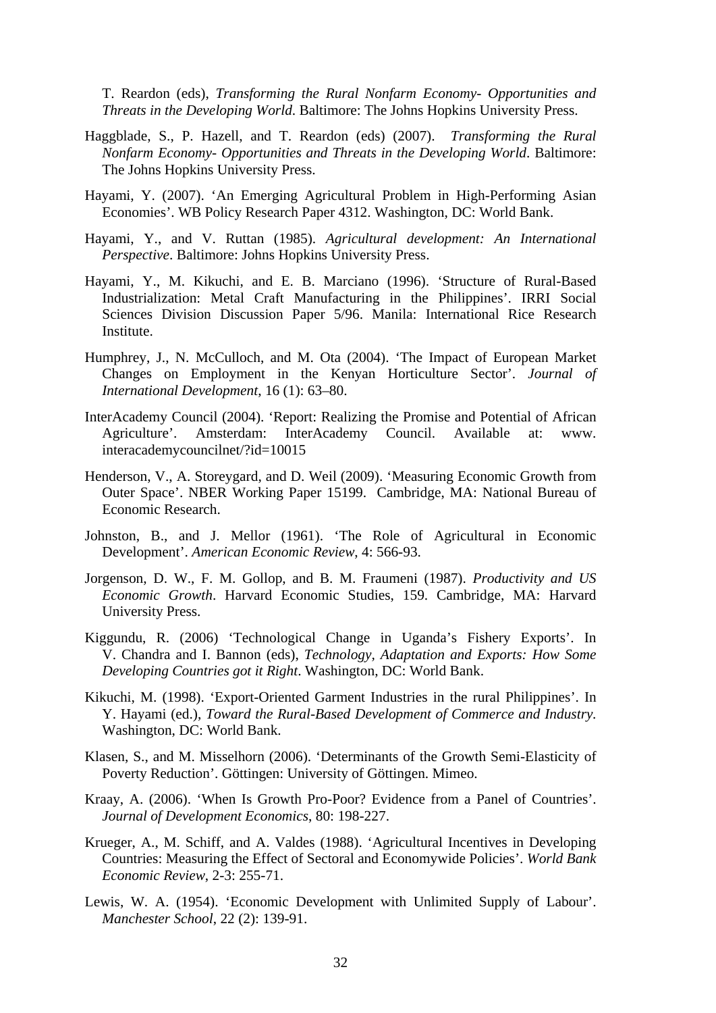T. Reardon (eds), *Transforming the Rural Nonfarm Economy- Opportunities and Threats in the Developing World*. Baltimore: The Johns Hopkins University Press.

- Haggblade, S., P. Hazell, and T. Reardon (eds) (2007). *Transforming the Rural Nonfarm Economy- Opportunities and Threats in the Developing World*. Baltimore: The Johns Hopkins University Press.
- Hayami, Y. (2007). 'An Emerging Agricultural Problem in High-Performing Asian Economies'. WB Policy Research Paper 4312. Washington, DC: World Bank.
- Hayami, Y., and V. Ruttan (1985). *Agricultural development: An International Perspective*. Baltimore: Johns Hopkins University Press.
- Hayami, Y., M. Kikuchi, and E. B. Marciano (1996). 'Structure of Rural-Based Industrialization: Metal Craft Manufacturing in the Philippines'. IRRI Social Sciences Division Discussion Paper 5/96. Manila: International Rice Research Institute.
- Humphrey, J., N. McCulloch, and M. Ota (2004). 'The Impact of European Market Changes on Employment in the Kenyan Horticulture Sector'. *Journal of International Development*, 16 (1): 63–80.
- InterAcademy Council (2004). 'Report: Realizing the Promise and Potential of African Agriculture'. Amsterdam: InterAcademy Council. Available at: www. interacademycouncilnet/?id=10015
- Henderson, V., A. Storeygard, and D. Weil (2009). 'Measuring Economic Growth from Outer Space'. NBER Working Paper 15199. Cambridge, MA: National Bureau of Economic Research.
- Johnston, B., and J. Mellor (1961). 'The Role of Agricultural in Economic Development'. *American Economic Review*, 4: 566-93.
- Jorgenson, D. W., F. M. Gollop, and B. M. Fraumeni (1987). *Productivity and US Economic Growth*. Harvard Economic Studies, 159. Cambridge, MA: Harvard University Press.
- Kiggundu, R. (2006) 'Technological Change in Uganda's Fishery Exports'. In V. Chandra and I. Bannon (eds), *Technology, Adaptation and Exports: How Some Developing Countries got it Right*. Washington, DC: World Bank.
- Kikuchi, M. (1998). 'Export-Oriented Garment Industries in the rural Philippines'. In Y. Hayami (ed.), *Toward the Rural-Based Development of Commerce and Industry.*  Washington, DC: World Bank.
- Klasen, S., and M. Misselhorn (2006). 'Determinants of the Growth Semi-Elasticity of Poverty Reduction'. Göttingen: University of Göttingen. Mimeo.
- Kraay, A. (2006). 'When Is Growth Pro-Poor? Evidence from a Panel of Countries'. *Journal of Development Economics*, 80: 198-227.
- Krueger, A., M. Schiff, and A. Valdes (1988). 'Agricultural Incentives in Developing Countries: Measuring the Effect of Sectoral and Economywide Policies'. *World Bank Economic Review*, 2-3: 255-71.
- Lewis, W. A. (1954). 'Economic Development with Unlimited Supply of Labour'. *Manchester School*, 22 (2): 139-91.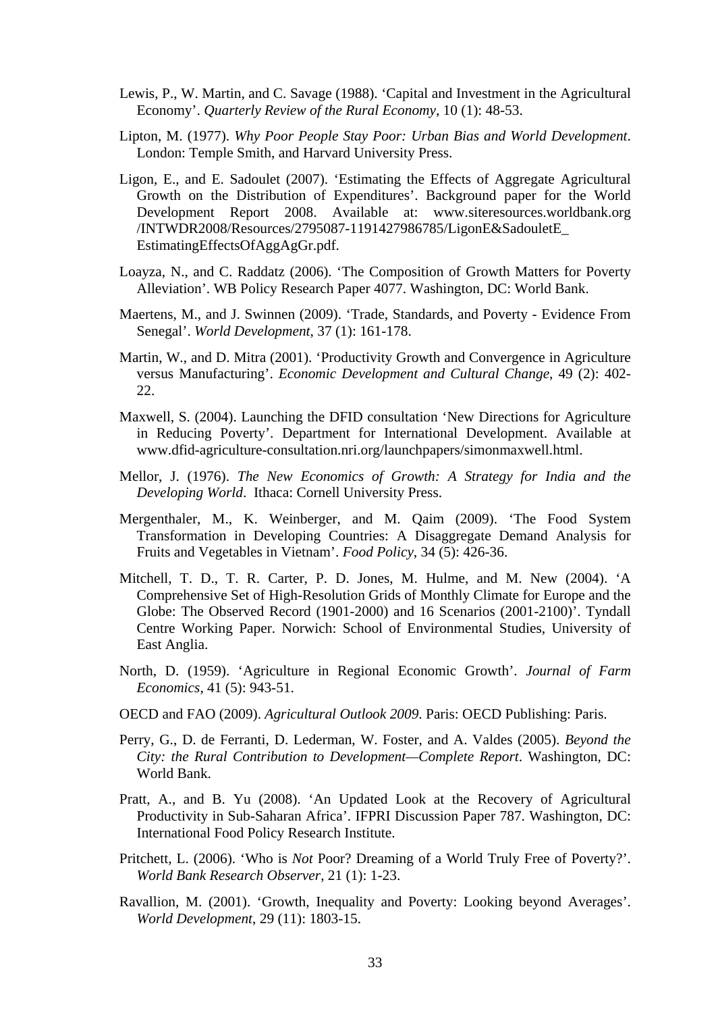- Lewis, P., W. Martin, and C. Savage (1988). 'Capital and Investment in the Agricultural Economy'. *Quarterly Review of the Rural Economy*, 10 (1): 48-53.
- Lipton, M. (1977). *Why Poor People Stay Poor: Urban Bias and World Development*. London: Temple Smith, and Harvard University Press.
- Ligon, E., and E. Sadoulet (2007). 'Estimating the Effects of Aggregate Agricultural Growth on the Distribution of Expenditures'. Background paper for the World Development Report 2008. Available at: www.siteresources.worldbank.org /INTWDR2008/Resources/2795087-1191427986785/LigonE&SadouletE\_ EstimatingEffectsOfAggAgGr.pdf.
- Loayza, N., and C. Raddatz (2006). 'The Composition of Growth Matters for Poverty Alleviation'. WB Policy Research Paper 4077. Washington, DC: World Bank.
- Maertens, M., and J. Swinnen (2009). 'Trade, Standards, and Poverty Evidence From Senegal'. *World Development*, 37 (1): 161-178.
- Martin, W., and D. Mitra (2001). 'Productivity Growth and Convergence in Agriculture versus Manufacturing'. *Economic Development and Cultural Change*, 49 (2): 402- 22.
- Maxwell, S. (2004). Launching the DFID consultation 'New Directions for Agriculture in Reducing Poverty'. Department for International Development. Available at www.dfid-agriculture-consultation.nri.org/launchpapers/simonmaxwell.html.
- Mellor, J. (1976). *The New Economics of Growth: A Strategy for India and the Developing World*. Ithaca: Cornell University Press.
- Mergenthaler, M., K. Weinberger, and M. Qaim (2009). 'The Food System Transformation in Developing Countries: A Disaggregate Demand Analysis for Fruits and Vegetables in Vietnam'. *Food Policy*, 34 (5): 426-36.
- Mitchell, T. D., T. R. Carter, P. D. Jones, M. Hulme, and M. New (2004). 'A Comprehensive Set of High-Resolution Grids of Monthly Climate for Europe and the Globe: The Observed Record (1901-2000) and 16 Scenarios (2001-2100)'. Tyndall Centre Working Paper. Norwich: School of Environmental Studies, University of East Anglia.
- North, D. (1959). 'Agriculture in Regional Economic Growth'. *Journal of Farm Economics*, 41 (5): 943-51.
- OECD and FAO (2009). *Agricultural Outlook 2009*. Paris: OECD Publishing: Paris.
- Perry, G., D. de Ferranti, D. Lederman, W. Foster, and A. Valdes (2005). *Beyond the City: the Rural Contribution to Development—Complete Report*. Washington, DC: World Bank.
- Pratt, A., and B. Yu (2008). 'An Updated Look at the Recovery of Agricultural Productivity in Sub-Saharan Africa'. IFPRI Discussion Paper 787. Washington, DC: International Food Policy Research Institute.
- Pritchett, L. (2006). 'Who is *Not* Poor? Dreaming of a World Truly Free of Poverty?'. *World Bank Research Observer*, 21 (1): 1-23.
- Ravallion, M. (2001). 'Growth, Inequality and Poverty: Looking beyond Averages'. *World Development*, 29 (11): 1803-15.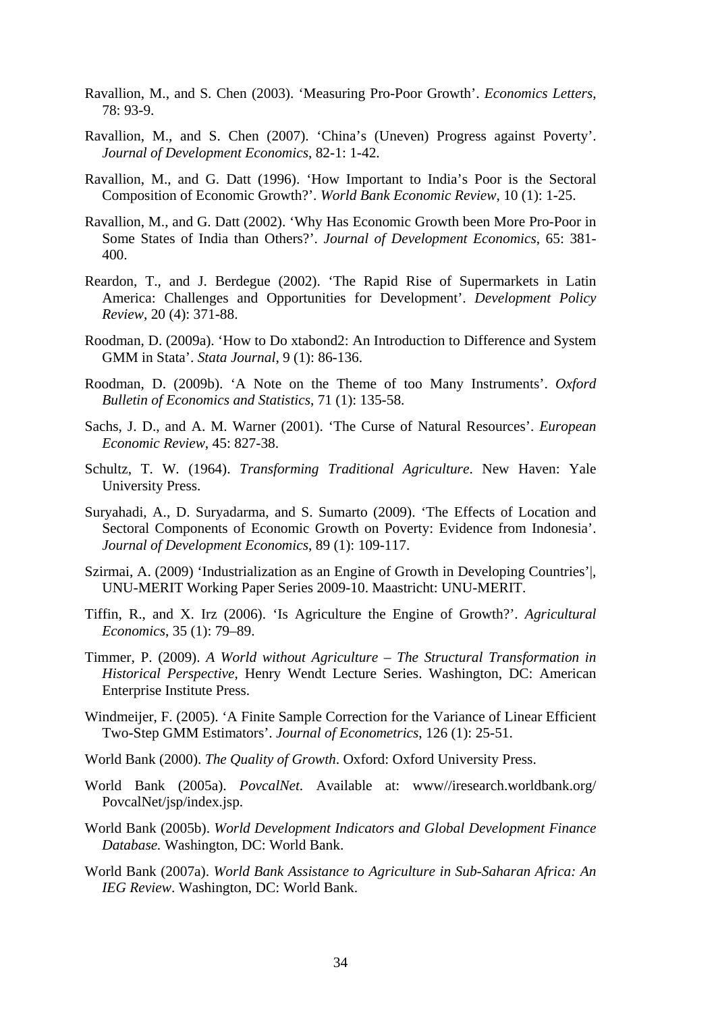- Ravallion, M., and S. Chen (2003). 'Measuring Pro-Poor Growth'. *Economics Letters*, 78: 93-9.
- Ravallion, M., and S. Chen (2007). 'China's (Uneven) Progress against Poverty'. *Journal of Development Economics*, 82-1: 1-42.
- Ravallion, M., and G. Datt (1996). 'How Important to India's Poor is the Sectoral Composition of Economic Growth?'. *World Bank Economic Review*, 10 (1): 1-25.
- Ravallion, M., and G. Datt (2002). 'Why Has Economic Growth been More Pro-Poor in Some States of India than Others?'. *Journal of Development Economics*, 65: 381- 400.
- Reardon, T., and J. Berdegue (2002). 'The Rapid Rise of Supermarkets in Latin America: Challenges and Opportunities for Development'. *Development Policy Review*, 20 (4): 371-88.
- Roodman, D. (2009a). 'How to Do xtabond2: An Introduction to Difference and System GMM in Stata'. *Stata Journal*, 9 (1): 86-136.
- Roodman, D. (2009b). 'A Note on the Theme of too Many Instruments'. *Oxford Bulletin of Economics and Statistics*, 71 (1): 135-58.
- Sachs, J. D., and A. M. Warner (2001). 'The Curse of Natural Resources'. *European Economic Review*, 45: 827-38.
- Schultz, T. W. (1964). *Transforming Traditional Agriculture*. New Haven: Yale University Press.
- Suryahadi, A., D. Suryadarma, and S. Sumarto (2009). 'The Effects of Location and Sectoral Components of Economic Growth on Poverty: Evidence from Indonesia'. *Journal of Development Economics*, 89 (1): 109-117.
- Szirmai, A. (2009) 'Industrialization as an Engine of Growth in Developing Countries'|, UNU-MERIT Working Paper Series 2009-10. Maastricht: UNU-MERIT.
- Tiffin, R., and X. Irz (2006). 'Is Agriculture the Engine of Growth?'. *Agricultural Economics*, 35 (1): 79–89.
- Timmer, P. (2009). *A World without Agriculture The Structural Transformation in Historical Perspective*, Henry Wendt Lecture Series. Washington, DC: American Enterprise Institute Press.
- Windmeijer, F. (2005). 'A Finite Sample Correction for the Variance of Linear Efficient Two-Step GMM Estimators'. *Journal of Econometrics*, 126 (1): 25-51.
- World Bank (2000). *The Quality of Growth*. Oxford: Oxford University Press.
- World Bank (2005a). *PovcalNet*. Available at: www//iresearch.worldbank.org/ PovcalNet/jsp/index.jsp.
- World Bank (2005b). *World Development Indicators and Global Development Finance Database.* Washington, DC: World Bank.
- World Bank (2007a). *World Bank Assistance to Agriculture in Sub-Saharan Africa: An IEG Review*. Washington, DC: World Bank.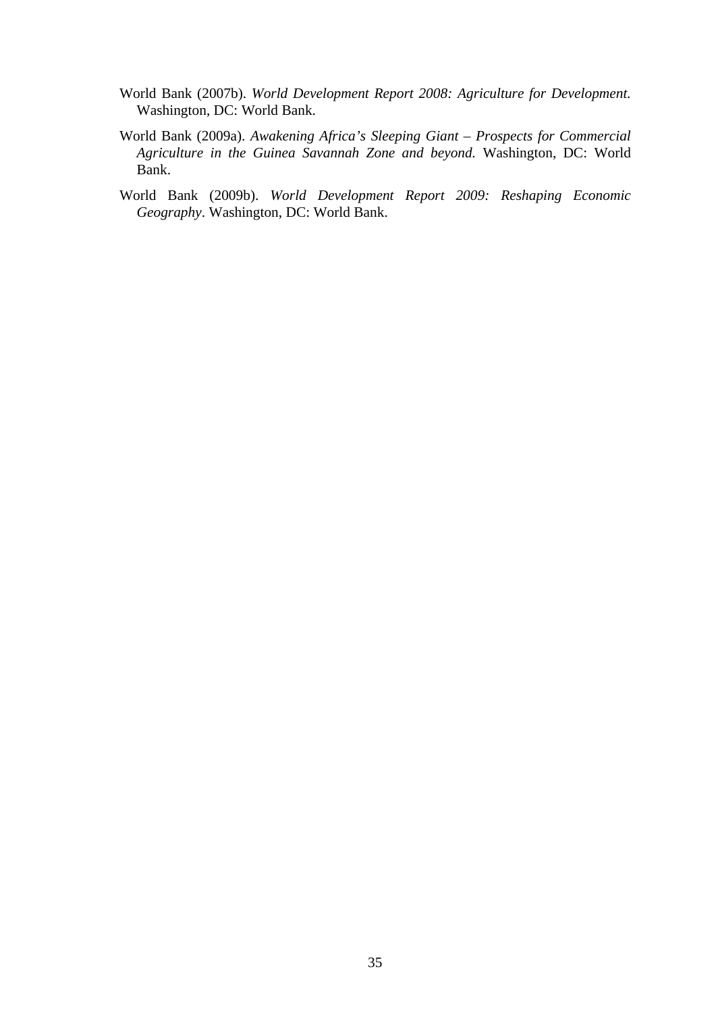- World Bank (2007b). *World Development Report 2008: Agriculture for Development.*  Washington, DC: World Bank.
- World Bank (2009a). *Awakening Africa's Sleeping Giant Prospects for Commercial Agriculture in the Guinea Savannah Zone and beyond.* Washington, DC: World Bank.
- World Bank (2009b). *World Development Report 2009: Reshaping Economic Geography*. Washington, DC: World Bank.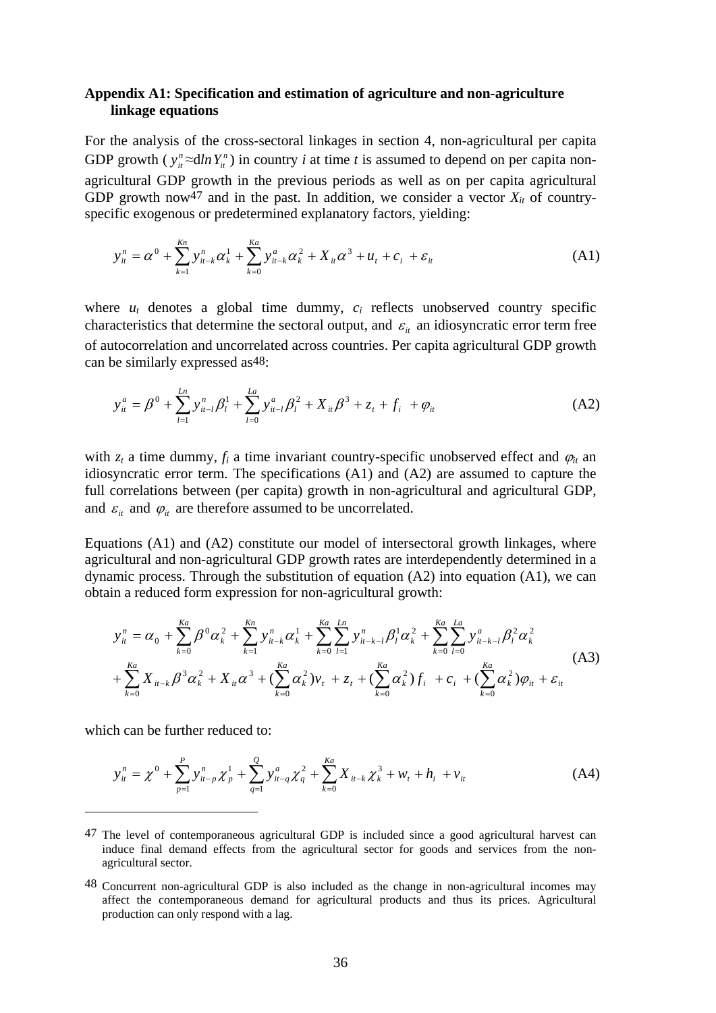#### **Appendix A1: Specification and estimation of agriculture and non-agriculture linkage equations**

For the analysis of the cross-sectoral linkages in section 4, non-agricultural per capita GDP growth ( $y_i^n \approx dln Y_i^n$ ) in country *i* at time *t* is assumed to depend on per capita nonagricultural GDP growth in the previous periods as well as on per capita agricultural GDP growth now<sup>47</sup> and in the past. In addition, we consider a vector  $X_{it}$  of countryspecific exogenous or predetermined explanatory factors, yielding:

$$
y_{it}^{n} = \alpha^{0} + \sum_{k=1}^{Kn} y_{it-k}^{n} \alpha_{k}^{1} + \sum_{k=0}^{Ka} y_{it-k}^{a} \alpha_{k}^{2} + X_{it} \alpha^{3} + u_{t} + c_{i} + \varepsilon_{it}
$$
 (A1)

where  $u_t$  denotes a global time dummy,  $c_i$  reflects unobserved country specific characteristics that determine the sectoral output, and  $\varepsilon$ <sub>*i*</sub> an idiosyncratic error term free of autocorrelation and uncorrelated across countries. Per capita agricultural GDP growth can be similarly expressed as48:

$$
y_{it}^a = \beta^0 + \sum_{l=1}^{Ln} y_{it-l}^n \beta_l^1 + \sum_{l=0}^{La} y_{it-l}^a \beta_l^2 + X_{it} \beta^3 + z_t + f_i^+ + \varphi_{it}
$$
 (A2)

with  $z_t$  a time dummy,  $f_i$  a time invariant country-specific unobserved effect and  $\varphi_{it}$  and idiosyncratic error term. The specifications (A1) and (A2) are assumed to capture the full correlations between (per capita) growth in non-agricultural and agricultural GDP, and  $\varepsilon$ <sub>*it*</sub> and  $\varphi$ <sub>*it*</sub> are therefore assumed to be uncorrelated.

Equations (A1) and (A2) constitute our model of intersectoral growth linkages, where agricultural and non-agricultural GDP growth rates are interdependently determined in a dynamic process. Through the substitution of equation (A2) into equation (A1), we can obtain a reduced form expression for non-agricultural growth:

$$
y_{it}^{n} = \alpha_{0} + \sum_{k=0}^{Ka} \beta^{0} \alpha_{k}^{2} + \sum_{k=1}^{Ka} y_{it-k}^{n} \alpha_{k}^{1} + \sum_{k=0}^{Ka} \sum_{l=1}^{Ln} y_{it-k-l}^{n} \beta_{l}^{1} \alpha_{k}^{2} + \sum_{k=0}^{Ka} \sum_{l=0}^{La} y_{it-k-l}^{a} \beta_{l}^{2} \alpha_{k}^{2} + \sum_{k=0}^{Ka} X_{it-k} \beta^{3} \alpha_{k}^{2} + X_{it} \alpha^{3} + (\sum_{k=0}^{Ka} \alpha_{k}^{2}) v_{t} + z_{t} + (\sum_{k=0}^{Ka} \alpha_{k}^{2}) f_{i} + c_{i} + (\sum_{k=0}^{Ka} \alpha_{k}^{2}) \varphi_{it} + \varepsilon_{it}
$$
\n(A3)

which can be further reduced to:

$$
y_{it}^{n} = \chi^{0} + \sum_{p=1}^{P} y_{it-p}^{n} \chi_{p}^{1} + \sum_{q=1}^{Q} y_{it-q}^{a} \chi_{q}^{2} + \sum_{k=0}^{Ka} X_{it-k} \chi_{k}^{3} + w_{t} + h_{i} + v_{it}
$$
(A4)

<sup>47</sup> The level of contemporaneous agricultural GDP is included since a good agricultural harvest can induce final demand effects from the agricultural sector for goods and services from the nonagricultural sector.

<sup>48</sup> Concurrent non-agricultural GDP is also included as the change in non-agricultural incomes may affect the contemporaneous demand for agricultural products and thus its prices. Agricultural production can only respond with a lag.